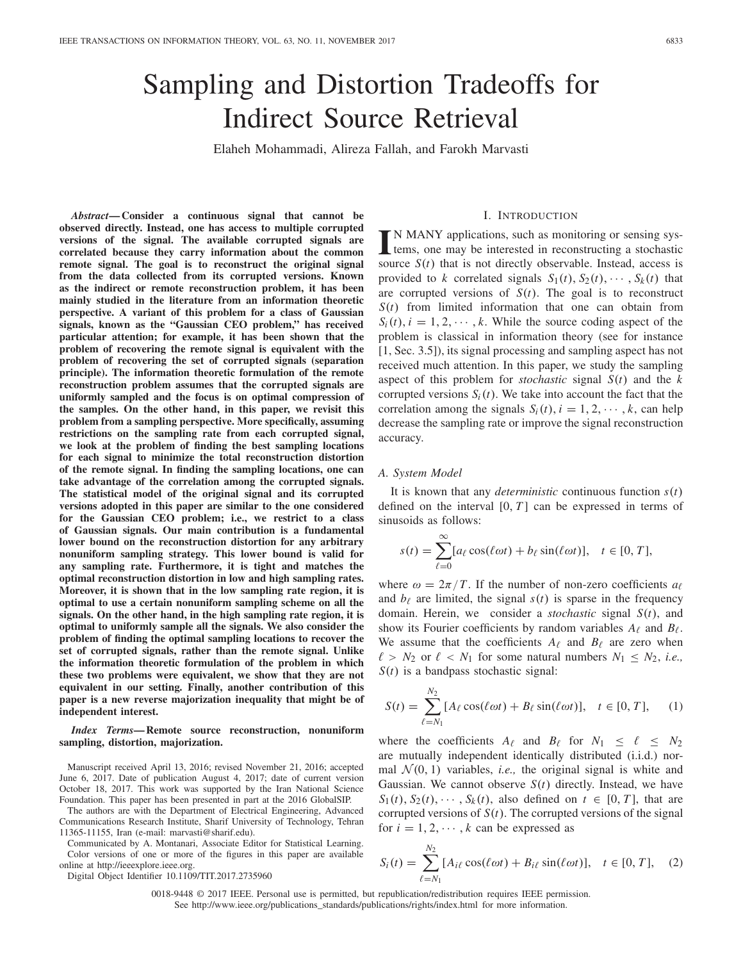# Sampling and Distortion Tradeoffs for Indirect Source Retrieval

Elaheh Mohammadi, Alireza Fallah, and Farokh Marvasti

*Abstract***— Consider a continuous signal that cannot be observed directly. Instead, one has access to multiple corrupted versions of the signal. The available corrupted signals are correlated because they carry information about the common remote signal. The goal is to reconstruct the original signal from the data collected from its corrupted versions. Known as the indirect or remote reconstruction problem, it has been mainly studied in the literature from an information theoretic perspective. A variant of this problem for a class of Gaussian signals, known as the "Gaussian CEO problem," has received particular attention; for example, it has been shown that the problem of recovering the remote signal is equivalent with the problem of recovering the set of corrupted signals (separation principle). The information theoretic formulation of the remote reconstruction problem assumes that the corrupted signals are uniformly sampled and the focus is on optimal compression of the samples. On the other hand, in this paper, we revisit this problem from a sampling perspective. More specifically, assuming restrictions on the sampling rate from each corrupted signal, we look at the problem of finding the best sampling locations for each signal to minimize the total reconstruction distortion of the remote signal. In finding the sampling locations, one can take advantage of the correlation among the corrupted signals. The statistical model of the original signal and its corrupted versions adopted in this paper are similar to the one considered for the Gaussian CEO problem; i.e., we restrict to a class of Gaussian signals. Our main contribution is a fundamental lower bound on the reconstruction distortion for any arbitrary nonuniform sampling strategy. This lower bound is valid for any sampling rate. Furthermore, it is tight and matches the optimal reconstruction distortion in low and high sampling rates. Moreover, it is shown that in the low sampling rate region, it is optimal to use a certain nonuniform sampling scheme on all the signals. On the other hand, in the high sampling rate region, it is optimal to uniformly sample all the signals. We also consider the problem of finding the optimal sampling locations to recover the set of corrupted signals, rather than the remote signal. Unlike the information theoretic formulation of the problem in which these two problems were equivalent, we show that they are not equivalent in our setting. Finally, another contribution of this paper is a new reverse majorization inequality that might be of independent interest.**

*Index Terms***— Remote source reconstruction, nonuniform sampling, distortion, majorization.**

Manuscript received April 13, 2016; revised November 21, 2016; accepted June 6, 2017. Date of publication August 4, 2017; date of current version October 18, 2017. This work was supported by the Iran National Science Foundation. This paper has been presented in part at the 2016 GlobalSIP.

The authors are with the Department of Electrical Engineering, Advanced Communications Research Institute, Sharif University of Technology, Tehran 11365-11155, Iran (e-mail: marvasti@sharif.edu).

Communicated by A. Montanari, Associate Editor for Statistical Learning. Color versions of one or more of the figures in this paper are available online at http://ieeexplore.ieee.org.

Digital Object Identifier 10.1109/TIT.2017.2735960

I. INTRODUCTION

IN MANY applications, such as monitoring or sensing sys-<br>tems, one may be interested in reconstructing a stochastic<br>senses S(a) that is not directly sharmable. Instead, access is tems, one may be interested in reconstructing a stochastic source  $S(t)$  that is not directly observable. Instead, access is provided to *k* correlated signals  $S_1(t)$ ,  $S_2(t)$ ,  $\cdots$ ,  $S_k(t)$  that are corrupted versions of  $S(t)$ . The goal is to reconstruct *S*(*t*) from limited information that one can obtain from  $S_i(t)$ ,  $i = 1, 2, \dots, k$ . While the source coding aspect of the problem is classical in information theory (see for instance [1, Sec. 3.5]), its signal processing and sampling aspect has not received much attention. In this paper, we study the sampling aspect of this problem for *stochastic* signal *S*(*t*) and the *k* corrupted versions  $S_i(t)$ . We take into account the fact that the correlation among the signals  $S_i(t)$ ,  $i = 1, 2, \dots, k$ , can help decrease the sampling rate or improve the signal reconstruction accuracy.

#### *A. System Model*

It is known that any *deterministic* continuous function *s*(*t*) defined on the interval  $[0, T]$  can be expressed in terms of sinusoids as follows:

$$
s(t) = \sum_{\ell=0}^{\infty} [a_{\ell} \cos(\ell \omega t) + b_{\ell} \sin(\ell \omega t)], \quad t \in [0, T],
$$

where  $\omega = 2\pi/T$ . If the number of non-zero coefficients  $a_{\ell}$ and  $b_{\ell}$  are limited, the signal  $s(t)$  is sparse in the frequency domain. Herein, we consider a *stochastic* signal *S*(*t*), and show its Fourier coefficients by random variables  $A_{\ell}$  and  $B_{\ell}$ . We assume that the coefficients  $A_{\ell}$  and  $B_{\ell}$  are zero when  $\ell > N_2$  or  $\ell < N_1$  for some natural numbers  $N_1 \leq N_2$ , *i.e.*, *S*(*t*) is a bandpass stochastic signal:

$$
S(t) = \sum_{\ell=N_1}^{N_2} [A_{\ell} \cos(\ell \omega t) + B_{\ell} \sin(\ell \omega t)], \quad t \in [0, T], \quad (1)
$$

where the coefficients  $A_{\ell}$  and  $B_{\ell}$  for  $N_1 \leq \ell \leq N_2$ are mutually independent identically distributed (i.i.d.) normal  $\mathcal{N}(0, 1)$  variables, *i.e.*, the original signal is white and Gaussian. We cannot observe *S*(*t*) directly. Instead, we have  $S_1(t)$ ,  $S_2(t)$ ,  $\cdots$ ,  $S_k(t)$ , also defined on  $t \in [0, T]$ , that are corrupted versions of  $S(t)$ . The corrupted versions of the signal for  $i = 1, 2, \dots, k$  can be expressed as

$$
S_i(t) = \sum_{\ell=N_1}^{N_2} [A_{i\ell} \cos(\ell \omega t) + B_{i\ell} \sin(\ell \omega t)], \quad t \in [0, T], \quad (2)
$$

0018-9448 © 2017 IEEE. Personal use is permitted, but republication/redistribution requires IEEE permission. See http://www.ieee.org/publications\_standards/publications/rights/index.html for more information.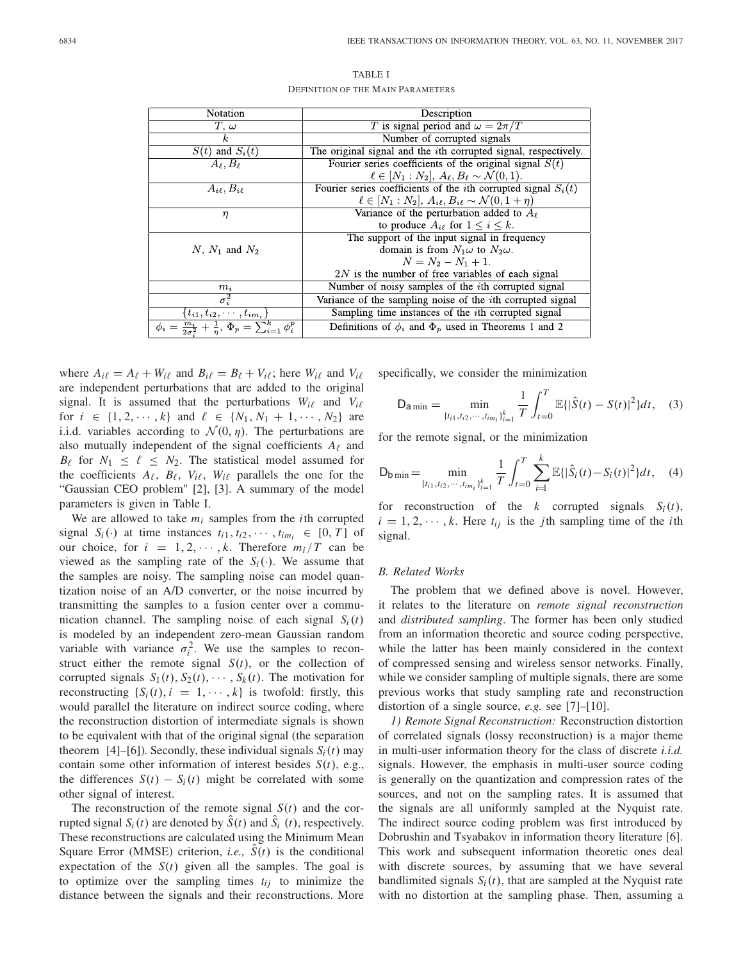| Notation                                                                                  | Description                                                                |  |
|-------------------------------------------------------------------------------------------|----------------------------------------------------------------------------|--|
| $T, \omega$                                                                               | T is signal period and $\omega = 2\pi/T$                                   |  |
| k.                                                                                        | Number of corrupted signals                                                |  |
| $\overline{S(t)}$ and $S_i(t)$                                                            | The original signal and the <i>i</i> th corrupted signal, respectively.    |  |
| $A_{\ell}, B_{\ell}$                                                                      | Fourier series coefficients of the original signal $S(t)$                  |  |
|                                                                                           | $\ell \in [N_1 : N_2], A_{\ell}, B_{\ell} \sim \mathcal{N}(0, 1).$         |  |
| $A_{i\ell}, B_{i\ell}$                                                                    | Fourier series coefficients of the <i>i</i> th corrupted signal $S_i(t)$   |  |
|                                                                                           | $\ell \in [N_1 : N_2], A_{i\ell}, B_{i\ell} \sim \mathcal{N}(0, 1 + \eta)$ |  |
| $\eta$                                                                                    | Variance of the perturbation added to $A_{\ell}$                           |  |
|                                                                                           | to produce $A_{i\ell}$ for $1 \leq i \leq k$ .                             |  |
|                                                                                           | The support of the input signal in frequency                               |  |
| N, $N_1$ and $N_2$                                                                        | domain is from $N_1\omega$ to $N_2\omega$ .                                |  |
|                                                                                           | $N = N_2 - N_1 + 1.$                                                       |  |
|                                                                                           | $2N$ is the number of free variables of each signal                        |  |
| $m_i$                                                                                     | Number of noisy samples of the <i>i</i> th corrupted signal                |  |
| $\sigma_i^2$                                                                              | Variance of the sampling noise of the <i>i</i> th corrupted signal         |  |
| $[\overline{t_{i1}}, t_{i2}, \cdots, t_{im_i}\}$                                          | Sampling time instances of the <i>i</i> th corrupted signal                |  |
| $\phi_i = \frac{m_i}{2\sigma^2} + \frac{1}{n}, \overline{\Phi_p} = \sum_{i=1}^k \phi_i^p$ | Definitions of $\phi_i$ and $\Phi_p$ used in Theorems 1 and 2              |  |

TABLE I DEFINITION OF THE MAIN PARAMETERS

where  $A_{i\ell} = A_{\ell} + W_{i\ell}$  and  $B_{i\ell} = B_{\ell} + V_{i\ell}$ ; here  $W_{i\ell}$  and  $V_{i\ell}$ are independent perturbations that are added to the original signal. It is assumed that the perturbations  $W_{i\ell}$  and  $V_{i\ell}$ for  $i \in \{1, 2, \dots, k\}$  and  $\ell \in \{N_1, N_1 + 1, \dots, N_2\}$  are i.i.d. variables according to  $\mathcal{N}(0, \eta)$ . The perturbations are also mutually independent of the signal coefficients  $A_{\ell}$  and  $B_{\ell}$  for  $N_1 \leq \ell \leq N_2$ . The statistical model assumed for the coefficients  $A_{\ell}$ ,  $B_{\ell}$ ,  $V_{i\ell}$ ,  $W_{i\ell}$  parallels the one for the "Gaussian CEO problem" [2], [3]. A summary of the model parameters is given in Table I.

We are allowed to take  $m_i$  samples from the *i*th corrupted signal  $S_i(\cdot)$  at time instances  $t_{i1}, t_{i2}, \dots, t_{im_i} \in [0, T]$  of our choice, for  $i = 1, 2, \dots, k$ . Therefore  $m_i/T$  can be viewed as the sampling rate of the  $S_i(\cdot)$ . We assume that the samples are noisy. The sampling noise can model quantization noise of an A/D converter, or the noise incurred by transmitting the samples to a fusion center over a communication channel. The sampling noise of each signal  $S_i(t)$ is modeled by an independent zero-mean Gaussian random variable with variance  $\sigma_i^2$ . We use the samples to reconstruct either the remote signal  $S(t)$ , or the collection of corrupted signals  $S_1(t)$ ,  $S_2(t)$ ,  $\cdots$ ,  $S_k(t)$ . The motivation for reconstructing  $\{S_i(t), i = 1, \dots, k\}$  is twofold: firstly, this would parallel the literature on indirect source coding, where the reconstruction distortion of intermediate signals is shown to be equivalent with that of the original signal (the separation theorem [4]–[6]). Secondly, these individual signals  $S_i(t)$  may contain some other information of interest besides *S*(*t*), e.g., the differences  $S(t) - S_i(t)$  might be correlated with some other signal of interest.

The reconstruction of the remote signal  $S(t)$  and the corrupted signal  $S_i(t)$  are denoted by  $\hat{S}(t)$  and  $\hat{S}_i(t)$ , respectively. These reconstructions are calculated using the Minimum Mean Square Error (MMSE) criterion, *i.e.*,  $S(t)$  is the conditional expectation of the  $S(t)$  given all the samples. The goal is to optimize over the sampling times  $t_{ij}$  to minimize the distance between the signals and their reconstructions. More specifically, we consider the minimization

$$
\mathsf{D}_{\mathsf{a}\min} = \min_{\{t_{i1}, t_{i2}, \cdots, t_{im_i}\}_{i=1}^k} \frac{1}{T} \int_{t=0}^T \mathbb{E}\{|\hat{S}(t) - S(t)|^2\} dt, \quad (3)
$$

for the remote signal, or the minimization

$$
D_{\text{b min}} = \min_{\{t_{i1}, t_{i2}, \cdots, t_{im_i}\}_{i=1}^k} \frac{1}{T} \int_{t=0}^T \sum_{i=1}^k \mathbb{E}\{|\hat{S}_i(t) - S_i(t)|^2\} dt, \quad (4)
$$

for reconstruction of the *k* corrupted signals  $S_i(t)$ ,  $i = 1, 2, \dots, k$ . Here  $t_{ij}$  is the *j*th sampling time of the *i*th signal.

#### *B. Related Works*

The problem that we defined above is novel. However, it relates to the literature on *remote signal reconstruction* and *distributed sampling*. The former has been only studied from an information theoretic and source coding perspective, while the latter has been mainly considered in the context of compressed sensing and wireless sensor networks. Finally, while we consider sampling of multiple signals, there are some previous works that study sampling rate and reconstruction distortion of a single source, *e.g.* see [7]–[10].

*1) Remote Signal Reconstruction:* Reconstruction distortion of correlated signals (lossy reconstruction) is a major theme in multi-user information theory for the class of discrete *i.i.d.* signals. However, the emphasis in multi-user source coding is generally on the quantization and compression rates of the sources, and not on the sampling rates. It is assumed that the signals are all uniformly sampled at the Nyquist rate. The indirect source coding problem was first introduced by Dobrushin and Tsyabakov in information theory literature [6]. This work and subsequent information theoretic ones deal with discrete sources, by assuming that we have several bandlimited signals  $S_i(t)$ , that are sampled at the Nyquist rate with no distortion at the sampling phase. Then, assuming a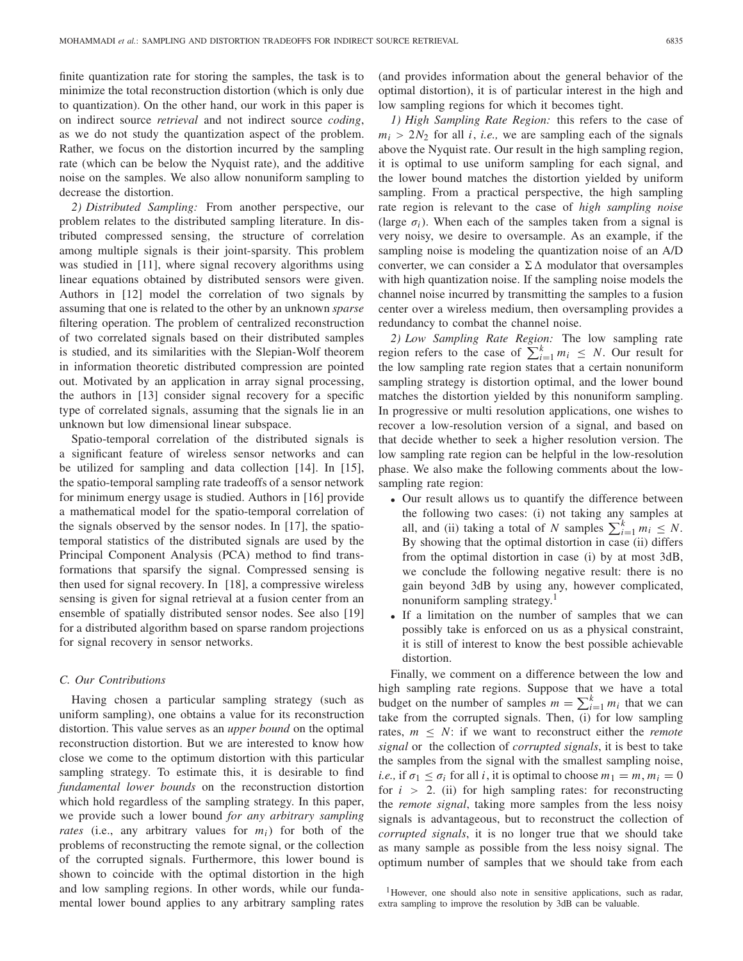finite quantization rate for storing the samples, the task is to minimize the total reconstruction distortion (which is only due to quantization). On the other hand, our work in this paper is on indirect source *retrieval* and not indirect source *coding*, as we do not study the quantization aspect of the problem. Rather, we focus on the distortion incurred by the sampling rate (which can be below the Nyquist rate), and the additive noise on the samples. We also allow nonuniform sampling to decrease the distortion.

*2) Distributed Sampling:* From another perspective, our problem relates to the distributed sampling literature. In distributed compressed sensing, the structure of correlation among multiple signals is their joint-sparsity. This problem was studied in [11], where signal recovery algorithms using linear equations obtained by distributed sensors were given. Authors in [12] model the correlation of two signals by assuming that one is related to the other by an unknown *sparse* filtering operation. The problem of centralized reconstruction of two correlated signals based on their distributed samples is studied, and its similarities with the Slepian-Wolf theorem in information theoretic distributed compression are pointed out. Motivated by an application in array signal processing, the authors in [13] consider signal recovery for a specific type of correlated signals, assuming that the signals lie in an unknown but low dimensional linear subspace.

Spatio-temporal correlation of the distributed signals is a significant feature of wireless sensor networks and can be utilized for sampling and data collection [14]. In [15], the spatio-temporal sampling rate tradeoffs of a sensor network for minimum energy usage is studied. Authors in [16] provide a mathematical model for the spatio-temporal correlation of the signals observed by the sensor nodes. In [17], the spatiotemporal statistics of the distributed signals are used by the Principal Component Analysis (PCA) method to find transformations that sparsify the signal. Compressed sensing is then used for signal recovery. In [18], a compressive wireless sensing is given for signal retrieval at a fusion center from an ensemble of spatially distributed sensor nodes. See also [19] for a distributed algorithm based on sparse random projections for signal recovery in sensor networks.

# *C. Our Contributions*

Having chosen a particular sampling strategy (such as uniform sampling), one obtains a value for its reconstruction distortion. This value serves as an *upper bound* on the optimal reconstruction distortion. But we are interested to know how close we come to the optimum distortion with this particular sampling strategy. To estimate this, it is desirable to find *fundamental lower bounds* on the reconstruction distortion which hold regardless of the sampling strategy. In this paper, we provide such a lower bound *for any arbitrary sampling rates* (i.e., any arbitrary values for  $m_i$ ) for both of the problems of reconstructing the remote signal, or the collection of the corrupted signals. Furthermore, this lower bound is shown to coincide with the optimal distortion in the high and low sampling regions. In other words, while our fundamental lower bound applies to any arbitrary sampling rates

(and provides information about the general behavior of the optimal distortion), it is of particular interest in the high and low sampling regions for which it becomes tight.

*1) High Sampling Rate Region:* this refers to the case of  $m_i > 2N_2$  for all *i*, *i.e.*, we are sampling each of the signals above the Nyquist rate. Our result in the high sampling region, it is optimal to use uniform sampling for each signal, and the lower bound matches the distortion yielded by uniform sampling. From a practical perspective, the high sampling rate region is relevant to the case of *high sampling noise* (large  $\sigma_i$ ). When each of the samples taken from a signal is very noisy, we desire to oversample. As an example, if the sampling noise is modeling the quantization noise of an A/D converter, we can consider a  $\Sigma \Delta$  modulator that oversamples with high quantization noise. If the sampling noise models the channel noise incurred by transmitting the samples to a fusion center over a wireless medium, then oversampling provides a redundancy to combat the channel noise.

*2) Low Sampling Rate Region:* The low sampling rate region refers to the case of  $\sum_{i=1}^{k} m_i \leq N$ . Our result for the low sampling rate region states that a certain nonuniform sampling strategy is distortion optimal, and the lower bound matches the distortion yielded by this nonuniform sampling. In progressive or multi resolution applications, one wishes to recover a low-resolution version of a signal, and based on that decide whether to seek a higher resolution version. The low sampling rate region can be helpful in the low-resolution phase. We also make the following comments about the lowsampling rate region:

- Our result allows us to quantify the difference between the following two cases: (i) not taking any samples at all, and (ii) taking a total of *N* samples  $\sum_{i=1}^{k} m_i \leq N$ . By showing that the optimal distortion in case (ii) differs from the optimal distortion in case (i) by at most 3dB, we conclude the following negative result: there is no gain beyond 3dB by using any, however complicated, nonuniform sampling strategy.<sup>1</sup>
- If a limitation on the number of samples that we can possibly take is enforced on us as a physical constraint, it is still of interest to know the best possible achievable distortion.

Finally, we comment on a difference between the low and high sampling rate regions. Suppose that we have a total budget on the number of samples  $m = \sum_{i=1}^{k} m_i$  that we can take from the corrupted signals. Then, (i) for low sampling rates,  $m \leq N$ : if we want to reconstruct either the *remote signal* or the collection of *corrupted signals*, it is best to take the samples from the signal with the smallest sampling noise, *i.e.*, if  $\sigma_1 \leq \sigma_i$  for all *i*, it is optimal to choose  $m_1 = m$ ,  $m_i = 0$ for  $i > 2$ . (ii) for high sampling rates: for reconstructing the *remote signal*, taking more samples from the less noisy signals is advantageous, but to reconstruct the collection of *corrupted signals*, it is no longer true that we should take as many sample as possible from the less noisy signal. The optimum number of samples that we should take from each

<sup>&</sup>lt;sup>1</sup>However, one should also note in sensitive applications, such as radar, extra sampling to improve the resolution by 3dB can be valuable.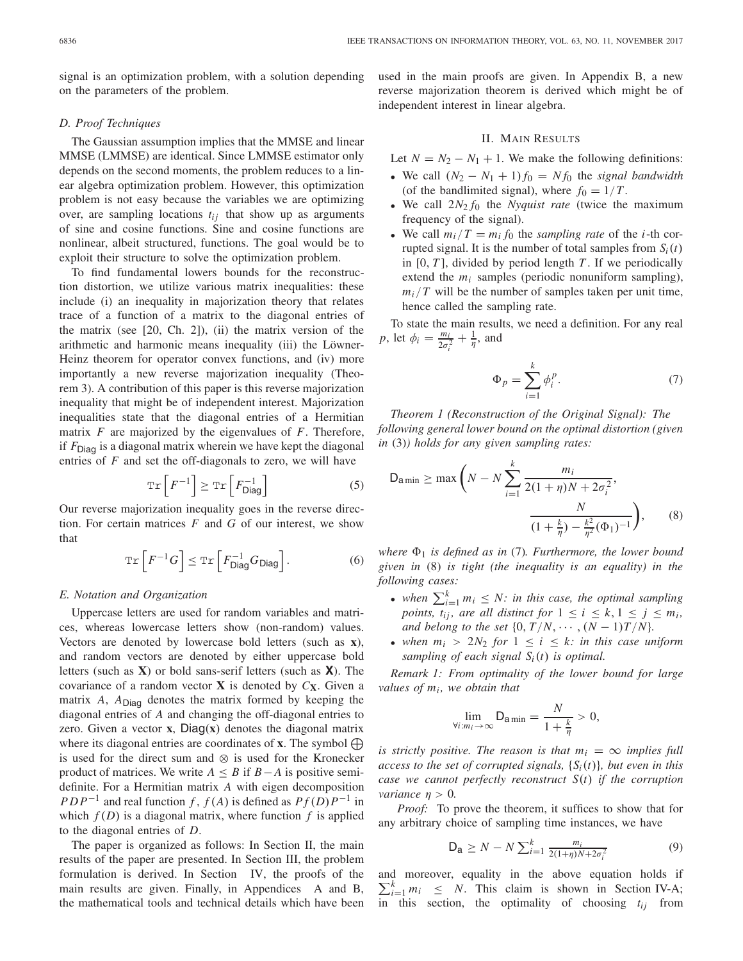signal is an optimization problem, with a solution depending on the parameters of the problem.

## *D. Proof Techniques*

The Gaussian assumption implies that the MMSE and linear MMSE (LMMSE) are identical. Since LMMSE estimator only depends on the second moments, the problem reduces to a linear algebra optimization problem. However, this optimization problem is not easy because the variables we are optimizing over, are sampling locations *tij* that show up as arguments of sine and cosine functions. Sine and cosine functions are nonlinear, albeit structured, functions. The goal would be to exploit their structure to solve the optimization problem.

To find fundamental lowers bounds for the reconstruction distortion, we utilize various matrix inequalities: these include (i) an inequality in majorization theory that relates trace of a function of a matrix to the diagonal entries of the matrix (see [20, Ch. 2]), (ii) the matrix version of the arithmetic and harmonic means inequality (iii) the Löwner-Heinz theorem for operator convex functions, and (iv) more importantly a new reverse majorization inequality (Theorem 3). A contribution of this paper is this reverse majorization inequality that might be of independent interest. Majorization inequalities state that the diagonal entries of a Hermitian matrix *F* are majorized by the eigenvalues of *F*. Therefore, if *F*Diag is a diagonal matrix wherein we have kept the diagonal entries of *F* and set the off-diagonals to zero, we will have

$$
\operatorname{Tr}\left[F^{-1}\right] \geq \operatorname{Tr}\left[F_{\text{Diag}}^{-1}\right] \tag{5}
$$

Our reverse majorization inequality goes in the reverse direction. For certain matrices *F* and *G* of our interest, we show that

$$
\operatorname{Tr}\left[F^{-1}G\right] \leq \operatorname{Tr}\left[F_{\text{Diag}}^{-1}G_{\text{Diag}}\right].\tag{6}
$$

#### *E. Notation and Organization*

Uppercase letters are used for random variables and matrices, whereas lowercase letters show (non-random) values. Vectors are denoted by lowercase bold letters (such as **x**), and random vectors are denoted by either uppercase bold letters (such as **X**) or bold sans-serif letters (such as **X**). The covariance of a random vector **X** is denoted by  $C_{\textbf{X}}$ . Given a matrix  $A$ ,  $A<sub>Diaq</sub>$  denotes the matrix formed by keeping the diagonal entries of *A* and changing the off-diagonal entries to zero. Given a vector **x**, Diag(**x**) denotes the diagonal matrix where its diagonal entries are coordinates of **x**. The symbol  $\bigoplus$ is used for the direct sum and ⊗ is used for the Kronecker product of matrices. We write  $A \leq B$  if  $B - A$  is positive semidefinite. For a Hermitian matrix *A* with eigen decomposition *PDP*<sup>−1</sup> and real function *f* , *f* (*A*) is defined as  $Pf(D)P^{-1}$  in which  $f(D)$  is a diagonal matrix, where function  $f$  is applied to the diagonal entries of *D*.

The paper is organized as follows: In Section II, the main results of the paper are presented. In Section III, the problem formulation is derived. In Section IV, the proofs of the main results are given. Finally, in Appendices A and B, the mathematical tools and technical details which have been used in the main proofs are given. In Appendix B, a new reverse majorization theorem is derived which might be of independent interest in linear algebra.

# II. MAIN RESULTS

Let  $N = N_2 - N_1 + 1$ . We make the following definitions:

- We call  $(N_2 N_1 + 1) f_0 = N f_0$  the *signal bandwidth* (of the bandlimited signal), where  $f_0 = 1/T$ .
- We call 2*N*<sup>2</sup> *f*<sup>0</sup> the *Nyquist rate* (twice the maximum frequency of the signal).
- We call  $m_i/T = m_i f_0$  the *sampling rate* of the *i*-th corrupted signal. It is the number of total samples from  $S_i(t)$ in [0, *T* ], divided by period length *T* . If we periodically extend the  $m_i$  samples (periodic nonuniform sampling),  $m_i/T$  will be the number of samples taken per unit time, hence called the sampling rate.

To state the main results, we need a definition. For any real *p*, let  $\phi_i = \frac{m_i}{2\sigma_i^2} + \frac{1}{\eta}$ , and

$$
\Phi_p = \sum_{i=1}^k \phi_i^p. \tag{7}
$$

*Theorem 1 (Reconstruction of the Original Signal): The following general lower bound on the optimal distortion (given in* (3)*) holds for any given sampling rates:*

$$
D_{\text{a min}} \ge \max\left(N - N\sum_{i=1}^{k} \frac{m_i}{2(1 + \eta)N + 2\sigma_i^2}, \frac{N}{(1 + \frac{k}{\eta}) - \frac{k^2}{\eta^2}(\Phi_1)^{-1}}\right), \quad (8)
$$

*where* <sup>1</sup> *is defined as in* (7)*. Furthermore, the lower bound given in* (8) *is tight (the inequality is an equality) in the following cases:*

- when  $\sum_{i=1}^{k} m_i \leq N$ : in this case, the optimal sampling *points,*  $t_{ij}$ *, are all distinct for*  $1 \le i \le k, 1 \le j \le m_i$ *, and belong to the set*  $\{0, T/N, \cdots, (N-1)T/N\}$ .
- when  $m_i > 2N_2$  for  $1 \leq i \leq k$ : in this case uniform *sampling of each signal Si*(*t*) *is optimal.*

*Remark 1: From optimality of the lower bound for large values of mi , we obtain that*

$$
\lim_{\forall i:m_i \to \infty} \mathsf{D}_{\mathsf{a}\min} = \frac{N}{1 + \frac{k}{\eta}} > 0,
$$

*is strictly positive. The reason is that*  $m_i = \infty$  *implies full access to the set of corrupted signals,* {*Si*(*t*)}*, but even in this case we cannot perfectly reconstruct S*(*t*) *if the corruption variance*  $n > 0$ .

*Proof:* To prove the theorem, it suffices to show that for any arbitrary choice of sampling time instances, we have

$$
D_{a} \ge N - N \sum_{i=1}^{k} \frac{m_{i}}{2(1+\eta)N + 2\sigma_{i}^{2}}
$$
(9)

and moreover, equality in the above equation holds if  $\sum_{i=1}^{k} m_i \leq N$ . This claim is shown in Section IV-A; in this section, the optimality of choosing *tij* from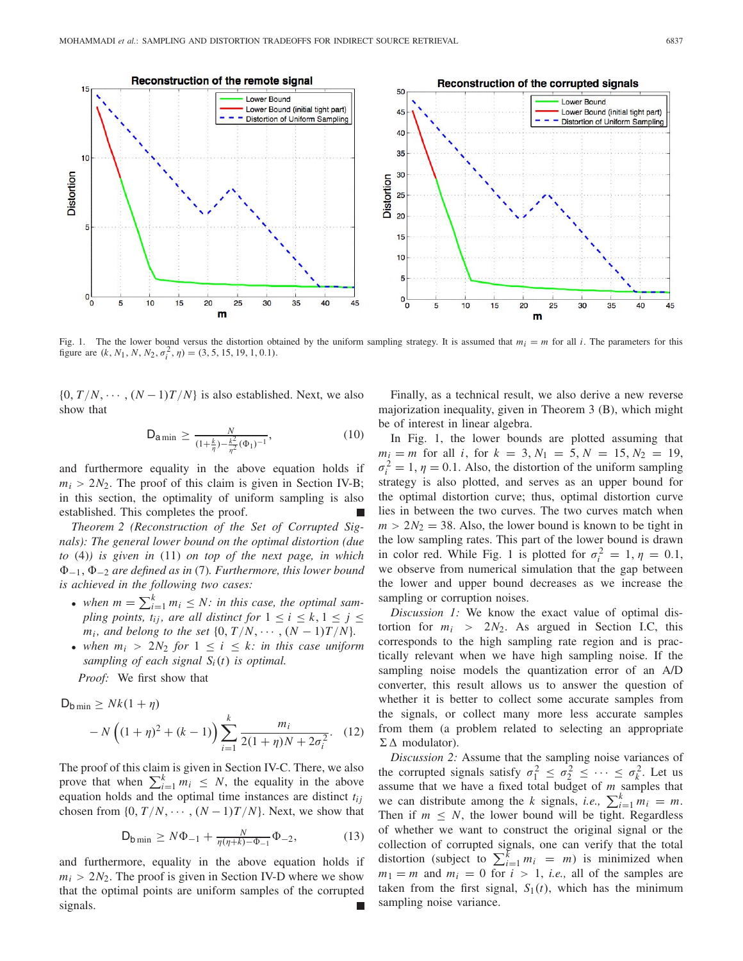

Fig. 1. The the lower bound versus the distortion obtained by the uniform sampling strategy. It is assumed that  $m_i = m$  for all *i*. The parameters for this figure are  $(k, N_1, N, N_2, \sigma_i^2, \eta) = (3, 5, 15, 19, 1, 0.1).$ 

 $\{0, T/N, \cdots, (N-1)T/N\}$  is also established. Next, we also show that

$$
D_{\text{a min}} \ge \frac{N}{(1 + \frac{k}{\eta}) - \frac{k^2}{\eta^2} (\Phi_1)^{-1}},
$$
\n(10)

and furthermore equality in the above equation holds if  $m_i > 2N_2$ . The proof of this claim is given in Section IV-B; in this section, the optimality of uniform sampling is also established. This completes the proof.

*Theorem 2 (Reconstruction of the Set of Corrupted Signals): The general lower bound on the optimal distortion (due to* (4)*) is given in* (11) *on top of the next page, in which* −1, <sup>−</sup><sup>2</sup> *are defined as in* (7)*. Furthermore, this lower bound is achieved in the following two cases:*

- when  $m = \sum_{i=1}^{k} m_i \leq N$ : in this case, the optimal sam*pling points, t<sub>ij</sub>, are all distinct for*  $1 \le i \le k, 1 \le j \le k$ *m<sub>i</sub>*, and belong to the set  $\{0, T/N, \cdots, (N-1)T/N\}$ .
- when  $m_i > 2N_2$  for  $1 \leq i \leq k$ : in this case uniform *sampling of each signal Si*(*t*) *is optimal.*

*Proof:* We first show that

$$
D_{b \min} \ge Nk(1 + \eta)
$$
  
- N  $\left((1 + \eta)^2 + (k - 1)\right) \sum_{i=1}^{k} \frac{m_i}{2(1 + \eta)N + 2\sigma_i^2}$ . (12)

The proof of this claim is given in Section IV-C. There, we also prove that when  $\sum_{i=1}^{k} m_i \leq N$ , the equality in the above equation holds and the optimal time instances are distinct *tij* chosen from  $\{0, T/N, \cdots, (N-1)T/N\}$ . Next, we show that

$$
D_{b \min} \ge N\Phi_{-1} + \frac{N}{\eta(\eta + k) - \Phi_{-1}} \Phi_{-2},\tag{13}
$$

and furthermore, equality in the above equation holds if  $m<sub>i</sub> > 2N<sub>2</sub>$ . The proof is given in Section IV-D where we show that the optimal points are uniform samples of the corrupted signals.

Finally, as a technical result, we also derive a new reverse majorization inequality, given in Theorem 3 (B), which might be of interest in linear algebra.

In Fig. 1, the lower bounds are plotted assuming that  $m_i = m$  for all *i*, for  $k = 3, N_1 = 5, N = 15, N_2 = 19$ ,  $\sigma_i^2 = 1$ ,  $\eta = 0.1$ . Also, the distortion of the uniform sampling strategy is also plotted, and serves as an upper bound for the optimal distortion curve; thus, optimal distortion curve lies in between the two curves. The two curves match when  $m > 2N_2 = 38$ . Also, the lower bound is known to be tight in the low sampling rates. This part of the lower bound is drawn in color red. While Fig. 1 is plotted for  $\sigma_i^2 = 1, \eta = 0.1$ , we observe from numerical simulation that the gap between the lower and upper bound decreases as we increase the sampling or corruption noises.

*Discussion 1:* We know the exact value of optimal distortion for  $m_i > 2N_2$ . As argued in Section I.C, this corresponds to the high sampling rate region and is practically relevant when we have high sampling noise. If the sampling noise models the quantization error of an A/D converter, this result allows us to answer the question of whether it is better to collect some accurate samples from the signals, or collect many more less accurate samples from them (a problem related to selecting an appropriate  $\Sigma \Delta$  modulator).

*Discussion 2:* Assume that the sampling noise variances of the corrupted signals satisfy  $\sigma_1^2 \leq \sigma_2^2 \leq \cdots \leq \sigma_k^2$ . Let us assume that we have a fixed total budget of *m* samples that we can distribute among the *k* signals, *i.e.*,  $\sum_{i=1}^{k} m_i = m$ . Then if  $m \leq N$ , the lower bound will be tight. Regardless of whether we want to construct the original signal or the collection of corrupted signals, one can verify that the total distortion (subject to  $\sum_{i=1}^{k} m_i = m$ ) is minimized when  $m_1 = m$  and  $m_i = 0$  for  $i > 1$ , *i.e.*, all of the samples are taken from the first signal,  $S_1(t)$ , which has the minimum sampling noise variance.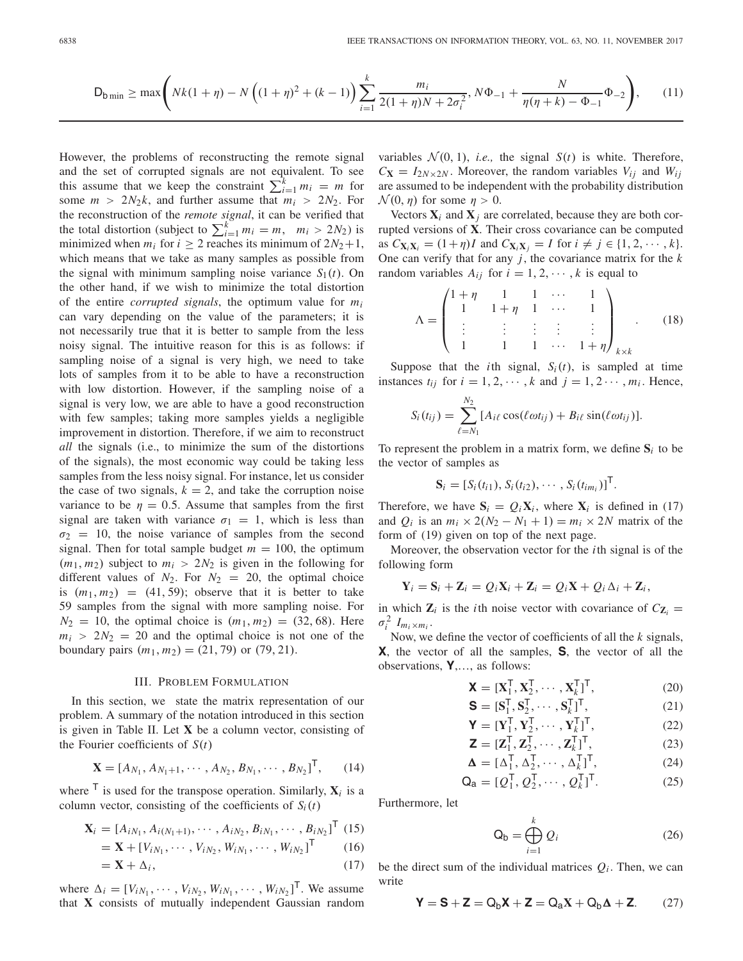$$
\mathsf{D}_{\mathsf{b}\min} \ge \max\left(Nk(1+\eta) - N\left((1+\eta)^2 + (k-1)\right)\sum_{i=1}^k \frac{m_i}{2(1+\eta)N + 2\sigma_i^2}, N\Phi_{-1} + \frac{N}{\eta(\eta+k) - \Phi_{-1}}\Phi_{-2}\right),\tag{11}
$$

However, the problems of reconstructing the remote signal and the set of corrupted signals are not equivalent. To see this assume that we keep the constraint  $\sum_{i=1}^{k} m_i = m$  for some  $m > 2N_2k$ , and further assume that  $m_i > 2N_2$ . For the reconstruction of the *remote signal*, it can be verified that the total distortion (subject to  $\sum_{i=1}^{k} m_i = m$ ,  $m_i > 2N_2$ ) is minimized when  $m_i$  for  $i \geq 2$  reaches its minimum of  $2N_2+1$ , which means that we take as many samples as possible from the signal with minimum sampling noise variance  $S_1(t)$ . On the other hand, if we wish to minimize the total distortion of the entire *corrupted signals*, the optimum value for *mi* can vary depending on the value of the parameters; it is not necessarily true that it is better to sample from the less noisy signal. The intuitive reason for this is as follows: if sampling noise of a signal is very high, we need to take lots of samples from it to be able to have a reconstruction with low distortion. However, if the sampling noise of a signal is very low, we are able to have a good reconstruction with few samples; taking more samples yields a negligible improvement in distortion. Therefore, if we aim to reconstruct *all* the signals (i.e., to minimize the sum of the distortions of the signals), the most economic way could be taking less samples from the less noisy signal. For instance, let us consider the case of two signals,  $k = 2$ , and take the corruption noise variance to be  $\eta = 0.5$ . Assume that samples from the first signal are taken with variance  $\sigma_1 = 1$ , which is less than  $\sigma_2 = 10$ , the noise variance of samples from the second signal. Then for total sample budget  $m = 100$ , the optimum  $(m_1, m_2)$  subject to  $m_i > 2N_2$  is given in the following for different values of  $N_2$ . For  $N_2 = 20$ , the optimal choice is  $(m_1, m_2) = (41, 59)$ ; observe that it is better to take 59 samples from the signal with more sampling noise. For  $N_2 = 10$ , the optimal choice is  $(m_1, m_2) = (32, 68)$ . Here  $m_i > 2N_2 = 20$  and the optimal choice is not one of the boundary pairs  $(m_1, m_2) = (21, 79)$  or  $(79, 21)$ .

## III. PROBLEM FORMULATION

In this section, we state the matrix representation of our problem. A summary of the notation introduced in this section is given in Table II. Let **X** be a column vector, consisting of the Fourier coefficients of *S*(*t*)

$$
\mathbf{X} = [A_{N_1}, A_{N_1+1}, \cdots, A_{N_2}, B_{N_1}, \cdots, B_{N_2}]^{\mathsf{T}}, \qquad (14)
$$

where  $\overline{I}$  is used for the transpose operation. Similarly,  $\mathbf{X}_i$  is a column vector, consisting of the coefficients of  $S_i(t)$ 

$$
\mathbf{X}_{i} = [A_{iN_{1}}, A_{i(N_{1}+1)}, \cdots, A_{iN_{2}}, B_{iN_{1}}, \cdots, B_{iN_{2}}]^{T} (15)
$$

$$
= \mathbf{X} + [V_{iN_1}, \cdots, V_{iN_2}, W_{iN_1}, \cdots, W_{iN_2}]^{\mathsf{T}} \tag{16}
$$

$$
= \mathbf{X} + \Delta_i, \tag{17}
$$

where  $\Delta_i = [V_{iN_1}, \cdots, V_{iN_2}, W_{iN_1}, \cdots, W_{iN_2}]^{\mathsf{T}}$ . We assume that **X** consists of mutually independent Gaussian random variables  $\mathcal{N}(0, 1)$ , *i.e.*, the signal  $S(t)$  is white. Therefore,  $C_{\mathbf{X}} = I_{2N \times 2N}$ . Moreover, the random variables  $V_{ij}$  and  $W_{ij}$ are assumed to be independent with the probability distribution  $\mathcal{N}(0, \eta)$  for some  $\eta > 0$ .

Vectors  $X_i$  and  $X_j$  are correlated, because they are both corrupted versions of **X**. Their cross covariance can be computed as  $C_{\mathbf{X}_i \mathbf{X}_i} = (1+\eta)I$  and  $C_{\mathbf{X}_i \mathbf{X}_i} = I$  for  $i \neq j \in \{1, 2, \dots, k\}.$ One can verify that for any *j*, the covariance matrix for the *k* random variables  $A_{ij}$  for  $i = 1, 2, \dots, k$  is equal to

$$
\Lambda = \begin{pmatrix} 1+\eta & 1 & 1 & \cdots & 1 \\ 1 & 1+\eta & 1 & \cdots & 1 \\ \vdots & \vdots & \vdots & \vdots & \vdots \\ 1 & 1 & 1 & \cdots & 1+\eta \end{pmatrix}_{k \times k} .
$$
 (18)

Suppose that the *i*th signal,  $S_i(t)$ , is sampled at time instances  $t_{ij}$  for  $i = 1, 2, \dots, k$  and  $j = 1, 2 \dots, m_i$ . Hence,

$$
S_i(t_{ij}) = \sum_{\ell=N_1}^{N_2} [A_{i\ell} \cos(\ell \omega t_{ij}) + B_{i\ell} \sin(\ell \omega t_{ij})].
$$

To represent the problem in a matrix form, we define  $S_i$  to be the vector of samples as

$$
\mathbf{S}_i = [S_i(t_{i1}), S_i(t_{i2}), \cdots, S_i(t_{im_i})]^{\mathsf{T}}.
$$

Therefore, we have  $S_i = Q_i X_i$ , where  $X_i$  is defined in (17) and  $Q_i$  is an  $m_i \times 2(N_2 - N_1 + 1) = m_i \times 2N$  matrix of the form of (19) given on top of the next page.

Moreover, the observation vector for the *i*th signal is of the following form

$$
\mathbf{Y}_i = \mathbf{S}_i + \mathbf{Z}_i = Q_i \mathbf{X}_i + \mathbf{Z}_i = Q_i \mathbf{X} + Q_i \Delta_i + \mathbf{Z}_i,
$$

in which  $\mathbf{Z}_i$  is the *i*th noise vector with covariance of  $C_{\mathbf{Z}_i}$  =  $\sigma_i^2$   $I_{m_i \times m_i}$ .

Now, we define the vector of coefficients of all the *k* signals, **X**, the vector of all the samples, **S**, the vector of all the observations, **Y**,…, as follows:

$$
\mathbf{X} = [\mathbf{X}_1^\mathsf{T}, \mathbf{X}_2^\mathsf{T}, \cdots, \mathbf{X}_k^\mathsf{T}]^\mathsf{T},\tag{20}
$$

$$
\mathbf{S} = [\mathbf{S}_1^{\mathsf{T}}, \mathbf{S}_2^{\mathsf{T}}, \cdots, \mathbf{S}_k^{\mathsf{T}}]^{\mathsf{T}},\tag{21}
$$

$$
\mathbf{Y} = [\mathbf{Y}_1^\mathsf{T}, \mathbf{Y}_2^\mathsf{T}, \cdots, \mathbf{Y}_k^\mathsf{T}]^\mathsf{T},\tag{22}
$$

$$
\mathbf{Z} = [\mathbf{Z}_1^\mathsf{T}, \mathbf{Z}_2^\mathsf{T}, \cdots, \mathbf{Z}_k^\mathsf{T}]^\mathsf{T},\tag{23}
$$

$$
\mathbf{\Delta} = [\Delta_1^{\mathsf{T}}, \Delta_2^{\mathsf{T}}, \cdots, \Delta_k^{\mathsf{T}}]^{\mathsf{T}},\tag{24}
$$

$$
\mathbf{Q}_a = [Q_1^\mathsf{T}, Q_2^\mathsf{T}, \cdots, Q_k^\mathsf{T}]^\mathsf{T}.\tag{25}
$$

Furthermore, let

$$
\mathsf{Q}_{\mathsf{b}} = \bigoplus_{i=1}^{k} Q_i \tag{26}
$$

be the direct sum of the individual matrices  $Q_i$ . Then, we can write

$$
\boldsymbol{Y} = \boldsymbol{S} + \boldsymbol{Z} = Q_b \boldsymbol{X} + \boldsymbol{Z} = Q_a \boldsymbol{X} + Q_b \boldsymbol{\Delta} + \boldsymbol{Z}. \qquad (27)
$$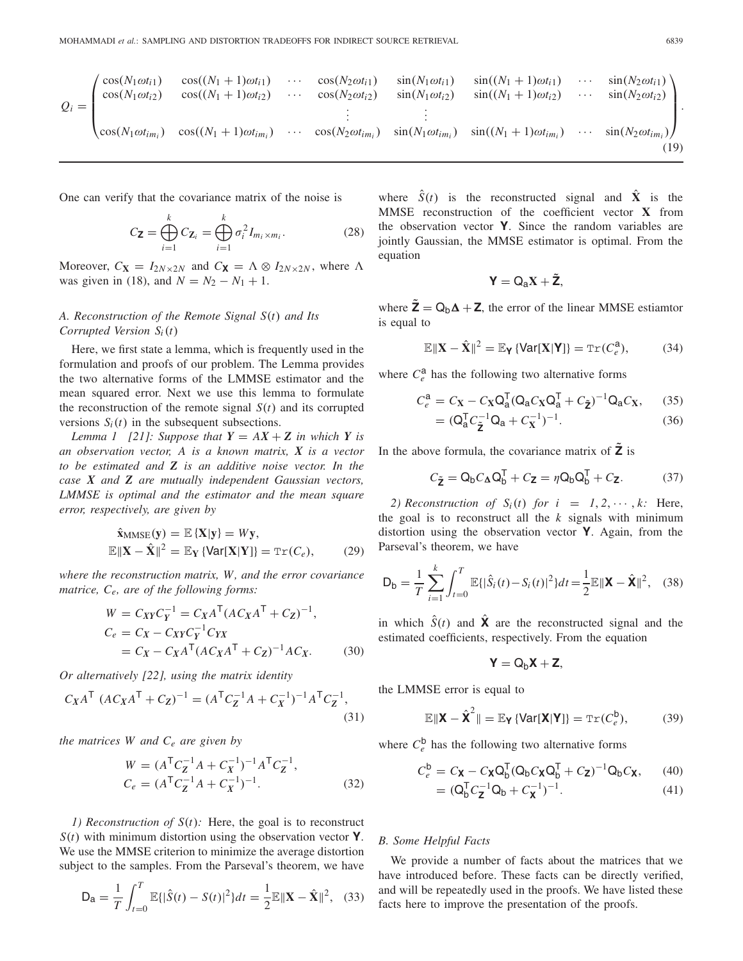$$
Q_i = \begin{pmatrix} \cos(N_1 \omega t_{i1}) & \cos((N_1 + 1)\omega t_{i1}) & \cdots & \cos(N_2 \omega t_{i1}) & \sin(N_1 \omega t_{i1}) & \sin((N_1 + 1)\omega t_{i1}) & \cdots & \sin(N_2 \omega t_{i1}) \\ \cos(N_1 \omega t_{i2}) & \cos((N_1 + 1)\omega t_{i2}) & \cdots & \cos(N_2 \omega t_{i2}) & \sin(N_1 \omega t_{i2}) & \sin((N_1 + 1)\omega t_{i2}) & \cdots & \sin(N_2 \omega t_{i2}) \\ \vdots & \vdots & \vdots & \vdots & \vdots & \vdots \\ \cos(N_1 \omega t_{im_i}) & \cos((N_1 + 1)\omega t_{im_i}) & \cdots & \cos(N_2 \omega t_{im_i}) & \sin(N_1 \omega t_{im_i}) & \sin((N_1 + 1)\omega t_{im_i}) & \cdots & \sin(N_2 \omega t_{im_i}) \end{pmatrix}.
$$
\n(19)

One can verify that the covariance matrix of the noise is

$$
C_{\mathbf{Z}} = \bigoplus_{i=1}^{k} C_{\mathbf{Z}_i} = \bigoplus_{i=1}^{k} \sigma_i^2 I_{m_i \times m_i}.
$$
 (28)

Moreover,  $C_{\mathbf{X}} = I_{2N \times 2N}$  and  $C_{\mathbf{X}} = \Lambda \otimes I_{2N \times 2N}$ , where  $\Lambda$ was given in (18), and  $N = N_2 - N_1 + 1$ .

# *A. Reconstruction of the Remote Signal S*(*t*) *and Its Corrupted Version Si*(*t*)

Here, we first state a lemma, which is frequently used in the formulation and proofs of our problem. The Lemma provides the two alternative forms of the LMMSE estimator and the mean squared error. Next we use this lemma to formulate the reconstruction of the remote signal  $S(t)$  and its corrupted versions  $S_i(t)$  in the subsequent subsections.

*Lemma 1* [21]: Suppose that  $Y = AX + Z$  in which Y is *an observation vector, A is a known matrix, X is a vector to be estimated and Z is an additive noise vector. In the case X and Z are mutually independent Gaussian vectors, LMMSE is optimal and the estimator and the mean square error, respectively, are given by*

$$
\hat{\mathbf{x}}_{MMSE}(\mathbf{y}) = \mathbb{E}\left\{\mathbf{X}|\mathbf{y}\right\} = W\mathbf{y},
$$
\n
$$
\mathbb{E}\|\mathbf{X} - \hat{\mathbf{X}}\|^2 = \mathbb{E}_{\mathbf{Y}}\left\{\text{Var}[\mathbf{X}|\mathbf{Y}]\right\} = \text{Tr}(C_e), \tag{29}
$$

*where the reconstruction matrix, W, and the error covariance matrice, Ce, are of the following forms:*

$$
W = C_{XY}C_{Y}^{-1} = C_{X}A^{T}(AC_{X}A^{T} + C_{Z})^{-1},
$$
  
\n
$$
C_{e} = C_{X} - C_{XY}C_{Y}^{-1}C_{YX}
$$
  
\n
$$
= C_{X} - C_{X}A^{T}(AC_{X}A^{T} + C_{Z})^{-1}AC_{X}.
$$
 (30)

*Or alternatively [22], using the matrix identity*

$$
C_X A^{\mathsf{T}} (AC_X A^{\mathsf{T}} + C_Z)^{-1} = (A^{\mathsf{T}} C_Z^{-1} A + C_X^{-1})^{-1} A^{\mathsf{T}} C_Z^{-1},
$$
\n(31)

*the matrices W and Ce are given by*

$$
W = (AT CZ-1 A + CX-1)-1 AT CZ-1,Ce = (AT CZ-1 A + CX-1)-1.
$$
 (32)

*1) Reconstruction of S*(*t*)*:* Here, the goal is to reconstruct *S*(*t*) with minimum distortion using the observation vector **Y**. We use the MMSE criterion to minimize the average distortion subject to the samples. From the Parseval's theorem, we have

$$
\mathsf{D}_{\mathsf{a}} = \frac{1}{T} \int_{t=0}^{T} \mathbb{E}\{|\hat{S}(t) - S(t)|^2\} dt = \frac{1}{2} \mathbb{E} \|\mathbf{X} - \hat{\mathbf{X}}\|^2, \quad (33)
$$

where  $\hat{S}(t)$  is the reconstructed signal and  $\hat{X}$  is the MMSE reconstruction of the coefficient vector **X** from the observation vector **Y**. Since the random variables are jointly Gaussian, the MMSE estimator is optimal. From the equation

$$
\mathbf{Y} = \mathbf{Q}_a \mathbf{X} + \tilde{\mathbf{Z}},
$$

where  $\mathbf{Z} = \mathbf{Q}_b \mathbf{\Delta} + \mathbf{Z}$ , the error of the linear MMSE estiamtor is equal to

$$
\mathbb{E} \|\mathbf{X} - \hat{\mathbf{X}}\|^2 = \mathbb{E}_{\mathbf{Y}} \left\{ \text{Var}[\mathbf{X}|\mathbf{Y}] \right\} = \text{Tr}(C_e^a), \tag{34}
$$

where  $C_e^a$  has the following two alternative forms

$$
C_e^{\mathbf{a}} = C_{\mathbf{X}} - C_{\mathbf{X}} \mathbf{Q}_\mathbf{a}^\mathsf{T} (\mathbf{Q}_\mathbf{a} C_{\mathbf{X}} \mathbf{Q}_\mathbf{a}^\mathsf{T} + C_{\tilde{\mathbf{Z}}})^{-1} \mathbf{Q}_\mathbf{a} C_{\mathbf{X}},\qquad(35)
$$

$$
= (Q_a^T C_{\tilde{Z}}^{-1} Q_a + C_X^{-1})^{-1}.
$$
 (36)

In the above formula, the covariance matrix of  $\overline{Z}$  is

$$
C_{\tilde{\mathbf{Z}}} = \mathbf{Q}_{\mathsf{b}} C_{\mathbf{\Delta}} \mathbf{Q}_{\mathsf{b}}^{\mathsf{T}} + C_{\mathbf{Z}} = \eta \mathbf{Q}_{\mathsf{b}} \mathbf{Q}_{\mathsf{b}}^{\mathsf{T}} + C_{\mathbf{Z}}.
$$
 (37)

2) Reconstruction of  $S_i(t)$  for  $i = 1, 2, \dots, k$ : Here, the goal is to reconstruct all the *k* signals with minimum distortion using the observation vector **Y**. Again, from the Parseval's theorem, we have

$$
\mathsf{D}_{\mathsf{b}} = \frac{1}{T} \sum_{i=1}^{k} \int_{t=0}^{T} \mathbb{E}\{|\hat{S}_i(t) - S_i(t)|^2\} dt = \frac{1}{2} \mathbb{E} \|\mathbf{X} - \hat{\mathbf{X}}\|^2, \quad (38)
$$

in which  $\hat{S}(t)$  and  $\hat{\mathbf{X}}$  are the reconstructed signal and the estimated coefficients, respectively. From the equation

$$
\bm{Y}=Q_b\bm{X}+\bm{Z},
$$

the LMMSE error is equal to

$$
\mathbb{E}\|\mathbf{X} - \hat{\mathbf{X}}^2\| = \mathbb{E}_{\mathbf{Y}}\left\{\text{Var}[\mathbf{X}|\mathbf{Y}]\right\} = \text{Tr}(C_e^b),\tag{39}
$$

where  $C_e^{\text{b}}$  has the following two alternative forms

$$
C_e^{\mathsf{b}} = C_{\mathsf{X}} - C_{\mathsf{X}} \mathsf{Q}_{\mathsf{b}}^{\mathsf{T}} (\mathsf{Q}_{\mathsf{b}} C_{\mathsf{X}} \mathsf{Q}_{\mathsf{b}}^{\mathsf{T}} + C_{\mathsf{Z}})^{-1} \mathsf{Q}_{\mathsf{b}} C_{\mathsf{X}},\qquad(40)
$$

$$
= (Q_b^T C_Z^{-1} Q_b + C_X^{-1})^{-1}.
$$
 (41)

# *B. Some Helpful Facts*

We provide a number of facts about the matrices that we have introduced before. These facts can be directly verified, and will be repeatedly used in the proofs. We have listed these facts here to improve the presentation of the proofs.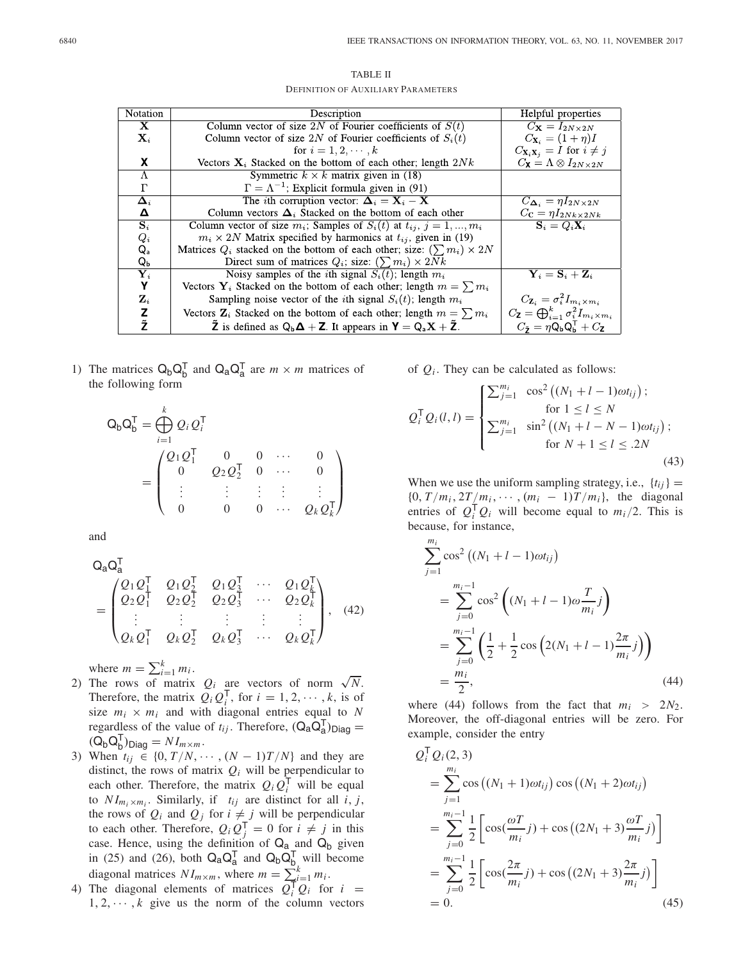| TABLE II                                  |
|-------------------------------------------|
| <b>DEFINITION OF AUXILIARY PARAMETERS</b> |

| <b>Notation</b> | Description                                                                        | Helpful properties                                                                     |
|-----------------|------------------------------------------------------------------------------------|----------------------------------------------------------------------------------------|
| X               | Column vector of size 2N of Fourier coefficients of $S(t)$                         | $C_{\mathbf{X}}=I_{2N\times 2N}$                                                       |
| $\mathbf{X}_i$  | Column vector of size 2N of Fourier coefficients of $S_i(t)$                       | $C_{X_i} = (1 + \eta)I$                                                                |
|                 | for $i = 1, 2, \dots, k$                                                           | $C_{\mathbf{X}_i \mathbf{X}_j} = I$ for $i \neq j$                                     |
| X               | Vectors $X_i$ Stacked on the bottom of each other; length $2Nk$                    | $C_{\mathbf{X}} = \Lambda \otimes I_{2N \times 2N}$                                    |
| Λ               | Symmetric $k \times k$ matrix given in (18)                                        |                                                                                        |
| Г               | $\Gamma = \Lambda^{-1}$ ; Explicit formula given in (91)                           |                                                                                        |
| $\Delta_i$      | The <i>i</i> th corruption vector: $\mathbf{\Delta}_i = \mathbf{X}_i - \mathbf{X}$ | $C_{\mathbf{\Delta}_i} = \eta I_{2N \times 2N}$                                        |
| Δ               | Column vectors $\Delta_i$ Stacked on the bottom of each other                      | $C_{\mathbf{C}} = \eta I_{2Nk \times 2Nk}$                                             |
| $\mathbf{S}_i$  | Column vector of size $m_i$ ; Samples of $S_i(t)$ at $t_{ij}$ , $j = 1, , m_i$     | $S_i = Q_i X_i$                                                                        |
| $Q_i$           | $m_i \times 2N$ Matrix specified by harmonics at $t_{ij}$ , given in (19)          |                                                                                        |
| $Q_{\rm a}$     | Matrices $Q_i$ stacked on the bottom of each other; size: $(\sum m_i) \times 2N$   |                                                                                        |
| $Q_{\rm b}$     | Direct sum of matrices $Q_i$ ; size: $(\sum m_i) \times 2Nk$                       |                                                                                        |
| $\mathbf{Y}_i$  | Noisy samples of the <i>i</i> th signal $S_i(t)$ ; length $m_i$                    | $\mathbf{Y}_i = \mathbf{S}_i + \mathbf{Z}_i$                                           |
| Υ               | Vectors $Y_i$ Stacked on the bottom of each other; length $m = \sum m_i$           |                                                                                        |
| $\mathbf{Z}_i$  | Sampling noise vector of the <i>i</i> th signal $S_i(t)$ ; length $m_i$            | $C_{\mathbf{Z}_i} = \sigma_i^2 I_{m_i \times m_i}$                                     |
| z               | Vectors $\mathbf{Z}_i$ Stacked on the bottom of each other; length $m = \sum m_i$  | $C_{\mathbf{Z}} = \bigoplus_{i=1}^k \sigma_i^2 I_{m_i \times m_i}$                     |
| Ž               | $\ddot{Z}$ is defined as $Q_b \Delta + Z$ . It appears in $Y = Q_a X + \ddot{Z}$ . | $C_{\tilde{\bm{\tau}}} = \eta Q_{\text{b}} Q_{\text{b}}^{\mathsf{T}} + C_{\mathsf{Z}}$ |

1) The matrices  $Q_b Q_b^T$  and  $Q_a Q_a^T$  are  $m \times m$  matrices of the following form

$$
Q_{b}Q_{b}^{T} = \bigoplus_{i=1}^{k} Q_{i}Q_{i}^{T}
$$
  
= 
$$
\begin{pmatrix} Q_{1}Q_{1}^{T} & 0 & 0 & \cdots & 0 \\ 0 & Q_{2}Q_{2}^{T} & 0 & \cdots & 0 \\ \vdots & \vdots & \vdots & \vdots & \vdots \\ 0 & 0 & 0 & \cdots & Q_{k}Q_{k}^{T} \end{pmatrix}
$$

and

$$
Q_{a}Q_{a}^{1}
$$
\n
$$
= \begin{pmatrix}\nQ_{1}Q_{1}^{T} & Q_{1}Q_{2}^{T} & Q_{1}Q_{3}^{T} & \cdots & Q_{1}Q_{k}^{T} \\
Q_{2}Q_{1}^{T} & Q_{2}Q_{2}^{T} & Q_{2}Q_{3}^{T} & \cdots & Q_{2}Q_{k}^{T} \\
\vdots & \vdots & \vdots & \vdots & \vdots \\
Q_{k}Q_{1}^{T} & Q_{k}Q_{2}^{T} & Q_{k}Q_{3}^{T} & \cdots & Q_{k}Q_{k}^{T}\n\end{pmatrix}, (42)
$$

- where  $m = \sum_{i=1}^{k} m_i$ .<br>2) The rows of matrix  $Q_i$  are vectors of norm  $\sqrt{N}$ . Therefore, the matrix  $Q_i Q_i^{\mathsf{T}}$ , for  $i = 1, 2, \dots, k$ , is of size  $m_i \times m_i$  and with diagonal entries equal to *N* regardless of the value of  $t_{ij}$ . Therefore,  $(Q_a Q_a^T)_{Diag}$  =  $(Q_b Q_b^{\mathsf{T}})_{\text{Diag}} = NI_{m \times m}$ .
- 3) When  $t_{ij} \in \{0, T/N, \cdots, (N-1)T/N\}$  and they are distinct, the rows of matrix  $Q_i$  will be perpendicular to each other. Therefore, the matrix  $Q_i Q_i^{\mathsf{T}}$  will be equal to  $NI_{m_i \times m_i}$ . Similarly, if  $t_{ij}$  are distinct for all *i*, *j*, the rows of  $Q_i$  and  $Q_j$  for  $i \neq j$  will be perpendicular to each other. Therefore,  $Q_i Q_j^{\mathsf{T}} = 0$  for  $i \neq j$  in this case. Hence, using the definition of  $Q_a$  and  $Q_b$  given in (25) and (26), both  $Q_a Q_a^T$  and  $Q_b Q_{b}^T$ , will become diagonal matrices  $NI_{m \times m}$ , where  $m = \sum_{i=1}^{k} m_i$ .
- 4) The diagonal elements of matrices  $Q_i^T Q_i$  for  $i =$  $1, 2, \dots, k$  give us the norm of the column vectors

of  $Q_i$ . They can be calculated as follows:

$$
Q_{i}^{\mathsf{T}}Q_{i}(l,l) = \begin{cases} \sum_{j=1}^{m_{i}} \cos^{2}((N_{1} + l - 1)\omega t_{ij});\\ \text{for } 1 \leq l \leq N\\ \sum_{j=1}^{m_{i}} \sin^{2}((N_{1} + l - N - 1)\omega t_{ij});\\ \text{for } N+1 \leq l \leq .2N \end{cases}
$$
(43)

When we use the uniform sampling strategy, i.e.,  $\{t_{ij}\}$  =  ${0, T/m_i, 2T/m_i, \cdots, (m_i - 1)T/m_i}$ , the diagonal entries of  $Q_i^T Q_i$  will become equal to  $m_i/2$ . This is because, for instance,

$$
\sum_{j=1}^{m_i} \cos^2 ((N_1 + l - 1)\omega t_{ij})
$$
  
= 
$$
\sum_{j=0}^{m_i-1} \cos^2 ((N_1 + l - 1)\omega \frac{T}{m_i})
$$
  
= 
$$
\sum_{j=0}^{m_i-1} \left(\frac{1}{2} + \frac{1}{2} \cos (2(N_1 + l - 1)\frac{2\pi}{m_i})\right)
$$
  
= 
$$
\frac{m_i}{2},
$$
 (44)

where (44) follows from the fact that  $m_i > 2N_2$ . Moreover, the off-diagonal entries will be zero. For example, consider the entry

$$
Q_i^T Q_i(2,3)
$$
  
=  $\sum_{j=1}^{m_i} \cos ((N_1 + 1)\omega t_{ij}) \cos ((N_1 + 2)\omega t_{ij})$   
=  $\sum_{j=0}^{m_i-1} \frac{1}{2} \left[ \cos(\frac{\omega T}{m_i} j) + \cos ((2N_1 + 3)\frac{\omega T}{m_i} j) \right]$   
=  $\sum_{j=0}^{m_i-1} \frac{1}{2} \left[ \cos(\frac{2\pi}{m_i} j) + \cos ((2N_1 + 3)\frac{2\pi}{m_i} j) \right]$   
= 0. (45)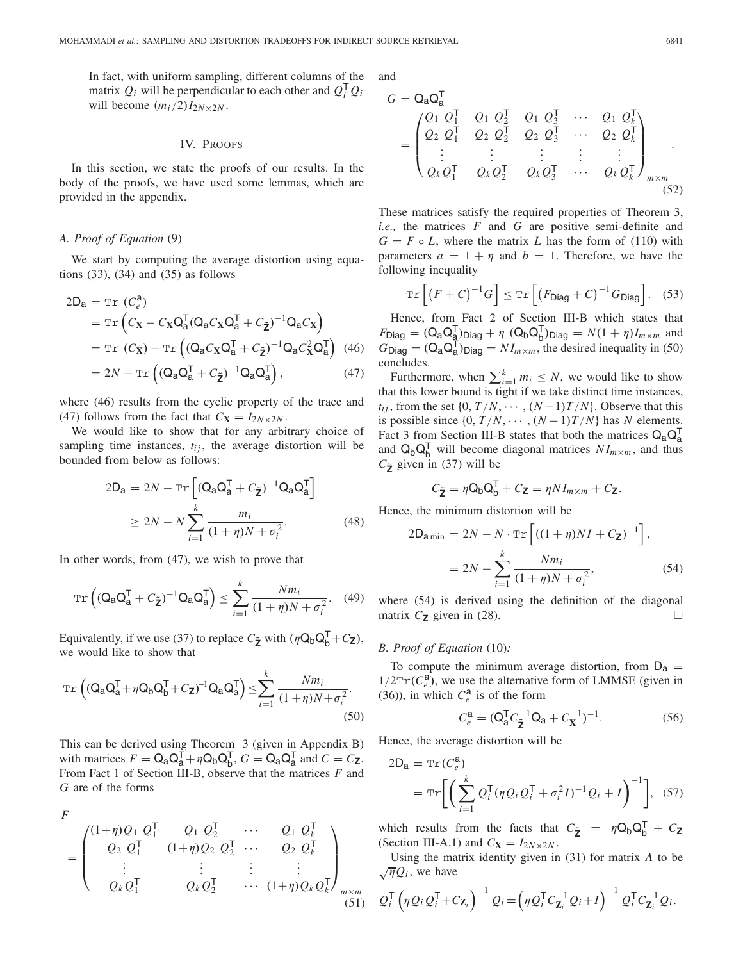In fact, with uniform sampling, different columns of the matrix  $Q_i$  will be perpendicular to each other and  $Q_i^T Q_i$ will become  $(m_i/2)I_{2N\times 2N}$ .

#### IV. PROOFS

In this section, we state the proofs of our results. In the body of the proofs, we have used some lemmas, which are provided in the appendix.

#### *A. Proof of Equation* (9)

We start by computing the average distortion using equations  $(33)$ ,  $(34)$  and  $(35)$  as follows

$$
2D_{a} = \text{Tr}(C_{e}^{a})
$$
  
=  $\text{Tr}(C_{X} - C_{X}Q_{a}^{T}(Q_{a}C_{X}Q_{a}^{T} + C_{\tilde{Z}})^{-1}Q_{a}C_{X})$   
=  $\text{Tr}(C_{X}) - \text{Tr}((Q_{a}C_{X}Q_{a}^{T} + C_{\tilde{Z}})^{-1}Q_{a}C_{X}^{2}Q_{a}^{T})$  (46)

$$
=2N-\mathrm{Tr}\left((\mathbf{Q}_a\mathbf{Q}_a^\mathsf{T} + C_{\tilde{\mathbf{Z}}})^{-1}\mathbf{Q}_a\mathbf{Q}_a^\mathsf{T}\right),\tag{47}
$$

where (46) results from the cyclic property of the trace and (47) follows from the fact that  $C_{\mathbf{X}} = I_{2N \times 2N}$ .

We would like to show that for any arbitrary choice of sampling time instances,  $t_{ij}$ , the average distortion will be bounded from below as follows:

$$
2D_{a} = 2N - \text{Tr}\left[ (Q_{a}Q_{a}^{T} + C_{\tilde{z}})^{-1}Q_{a}Q_{a}^{T} \right]
$$

$$
\geq 2N - N \sum_{i=1}^{k} \frac{m_{i}}{(1 + \eta)N + \sigma_{i}^{2}}.
$$
(48)

In other words, from (47), we wish to prove that

$$
\operatorname{Tr}\left((\mathbf{Q}_\mathbf{a}\mathbf{Q}_\mathbf{a}^\mathsf{T} + C_{\tilde{\mathbf{Z}}})^{-1}\mathbf{Q}_\mathbf{a}\mathbf{Q}_\mathbf{a}^\mathsf{T}\right) \le \sum_{i=1}^k \frac{Nm_i}{(1+\eta)N + \sigma_i^2}.\tag{49}
$$

Equivalently, if we use (37) to replace  $C_{\tilde{\mathbf{Z}}}$  with  $(\eta \mathbf{Q}_{\mathbf{b}} \mathbf{Q}_{\mathbf{b}}^{\mathsf{T}} + C_{\mathbf{Z}})$ , we would like to show that

$$
\operatorname{Tr}\left((\mathbf{Q}_a\mathbf{Q}_a^\mathsf{T} + \eta \mathbf{Q}_b\mathbf{Q}_b^\mathsf{T} + C_{\mathbf{Z}})^{-1}\mathbf{Q}_a\mathbf{Q}_a^\mathsf{T}\right) \le \sum_{i=1}^k \frac{Nm_i}{(1+\eta)N + \sigma_i^2}.
$$
\n(50)

This can be derived using Theorem 3 (given in Appendix B) with matrices  $F = \mathbf{Q}_a \mathbf{Q}_a^T + \eta \mathbf{Q}_b \mathbf{Q}_b^T$ ,  $G = \mathbf{Q}_a \mathbf{Q}_a^T$  and  $C = C_{\mathbf{Z}}$ . From Fact 1 of Section III-B, observe that the matrices *F* and *G* are of the forms

$$
F = \begin{pmatrix} (1+\eta)Q_1 & Q_1^{\mathsf{T}} & Q_1 & Q_2^{\mathsf{T}} & \cdots & Q_1 & Q_k^{\mathsf{T}} \\ Q_2 & Q_1^{\mathsf{T}} & (1+\eta)Q_2 & Q_2^{\mathsf{T}} & \cdots & Q_2 & Q_k^{\mathsf{T}} \\ \vdots & \vdots & \vdots & \vdots & \vdots & \vdots \\ Q_k & Q_1^{\mathsf{T}} & Q_k & Q_2^{\mathsf{T}} & \cdots & (1+\eta)Q_k & Q_k^{\mathsf{T}} \end{pmatrix}_{m \times m}
$$
\n(51)

and

$$
G = Q_{a}Q_{a}^{T}
$$
\n
$$
= \begin{pmatrix}\nQ_{1} & Q_{1}^{T} & Q_{1} & Q_{2}^{T} & Q_{1} & Q_{3}^{T} & \cdots & Q_{1} & Q_{k}^{T} \\
Q_{2} & Q_{1}^{T} & Q_{2} & Q_{2}^{T} & Q_{2} & Q_{3}^{T} & \cdots & Q_{2} & Q_{k}^{T} \\
\vdots & \vdots & \vdots & \vdots & \vdots & \vdots \\
Q_{k}Q_{1}^{T} & Q_{k}Q_{2}^{T} & Q_{k}Q_{3}^{T} & \cdots & Q_{k}Q_{k}^{T}\n\end{pmatrix}_{m \times m}
$$
\n(52)

These matrices satisfy the required properties of Theorem 3, *i.e.,* the matrices *F* and *G* are positive semi-definite and  $G = F \circ L$ , where the matrix *L* has the form of (110) with parameters  $a = 1 + \eta$  and  $b = 1$ . Therefore, we have the following inequality

$$
\operatorname{Tr}\left[\left(F+C\right)^{-1}G\right] \leq \operatorname{Tr}\left[\left(F_{\text{Diag}} + C\right)^{-1}G_{\text{Diag}}\right].\tag{53}
$$

Hence, from Fact 2 of Section III-B which states that  $F_{\text{Diag}} = (Q_a Q_{\underline{a}}^T)_{\text{Diag}} + \eta (Q_b Q_b^T)_{\text{Diag}} = N(1 + \eta)I_{m \times m}$  and  $G_{\text{Diag}} = (Q_a Q_a^T)_{\text{Diag}} = NI_{m \times m}$ , the desired inequality in (50) concludes.

Furthermore, when  $\sum_{i=1}^{k} m_i \leq N$ , we would like to show that this lower bound is tight if we take distinct time instances, *t*<sub>ij</sub>, from the set  $\{0, T/N, \cdots, (N-1)T/N\}$ . Observe that this is possible since  $\{0, T/N, \cdots, (N-1)T/N\}$  has *N* elements. Fact 3 from Section III-B states that both the matrices  $Q_a Q_a^T$ and  $\mathsf{Q}_{\mathsf{b}}\mathsf{Q}_{\mathsf{b}}^{\mathsf{T}}$  will become diagonal matrices  $NI_{m \times m}$ , and thus  $C_{\tilde{\mathbf{z}}}$  given in (37) will be

$$
C_{\tilde{\mathbf{Z}}} = \eta \mathbf{Q}_b \mathbf{Q}_b^{\mathsf{T}} + C_{\mathbf{Z}} = \eta N I_{m \times m} + C_{\mathbf{Z}}.
$$

Hence, the minimum distortion will be

$$
2D_{\text{a min}} = 2N - N \cdot \text{Tr}\left[ ((1 + \eta)NI + C_{\text{Z}})^{-1} \right],
$$
  
= 
$$
2N - \sum_{i=1}^{k} \frac{Nm_i}{(1 + \eta)N + \sigma_i^2},
$$
 (54)

where (54) is derived using the definition of the diagonal matrix  $C_{\mathbf{Z}}$  given in (28).  $\Box$ 

## *B. Proof of Equation* (10)*:*

To compute the minimum average distortion, from  $D_a$  =  $1/2\text{Tr}(C_e^a)$ , we use the alternative form of LMMSE (given in (36)), in which  $C_e^a$  is of the form

$$
C_e^a = (Q_a^T C_{\tilde{Z}}^{-1} Q_a + C_X^{-1})^{-1}.
$$
 (56)

Hence, the average distortion will be

$$
2D_{\mathbf{a}} = \text{Tr}(C_e^{\mathbf{a}})
$$
  
= 
$$
\text{Tr}\bigg[\bigg(\sum_{i=1}^k Q_i^{\mathsf{T}}(\eta Q_i Q_i^{\mathsf{T}} + \sigma_i^2 I)^{-1} Q_i + I\bigg)^{-1}\bigg], (57)
$$

which results from the facts that  $C_{\tilde{Z}} = \eta Q_b Q_b^T + C_Z$ (Section III-A.1) and  $C_{\mathbf{X}} = I_{2N \times 2N}$ .

Using the matrix identity given in (31) for matrix *A* to be  $\sqrt{\eta}Q_i$ , we have

$$
Q_i^{\mathsf{T}}\left(\eta Q_i Q_i^{\mathsf{T}} + C_{\mathbf{Z}_i}\right)^{-1} Q_i = \left(\eta Q_i^{\mathsf{T}} C_{\mathbf{Z}_i}^{-1} Q_i + I\right)^{-1} Q_i^{\mathsf{T}} C_{\mathbf{Z}_i}^{-1} Q_i.
$$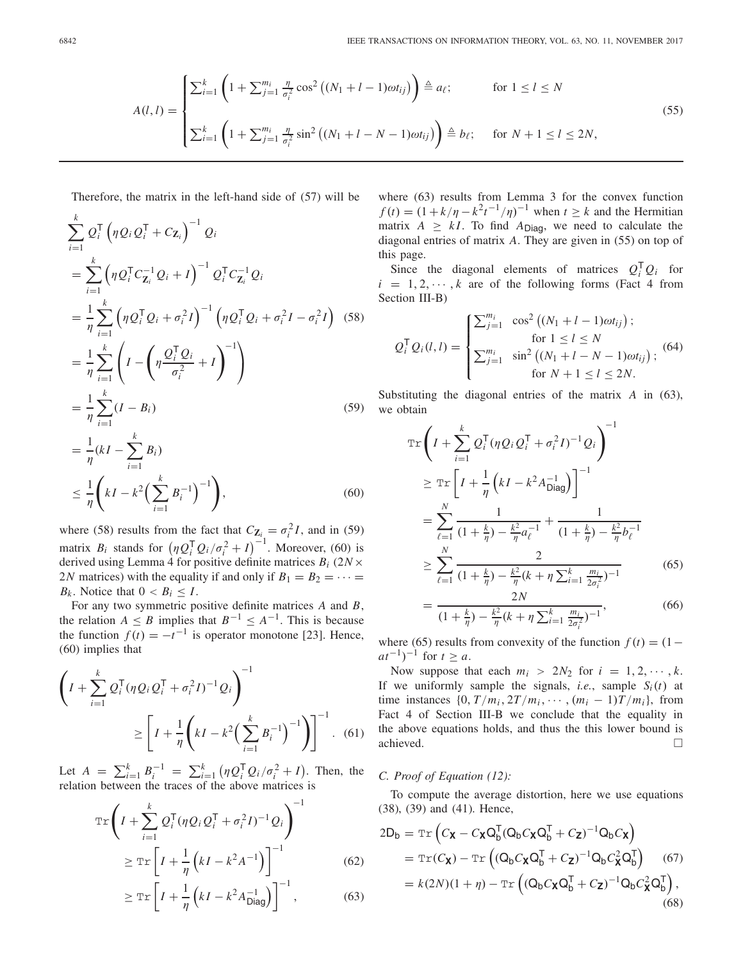$$
A(l,l) = \begin{cases} \sum_{i=1}^{k} \left( 1 + \sum_{j=1}^{m_i} \frac{\eta}{\sigma_i^2} \cos^2 \left( (N_1 + l - 1)\omega t_{ij} \right) \right) \stackrel{\Delta}{=} a_{\ell}; & \text{for } 1 \le l \le N \\ \sum_{i=1}^{k} \left( 1 + \sum_{j=1}^{m_i} \frac{\eta}{\sigma_i^2} \sin^2 \left( (N_1 + l - N - 1)\omega t_{ij} \right) \right) \stackrel{\Delta}{=} b_{\ell}; & \text{for } N+1 \le l \le 2N, \end{cases}
$$
(55)

Therefore, the matrix in the left-hand side of (57) will be

$$
\sum_{i=1}^{k} Q_{i}^{\mathsf{T}} \left( \eta Q_{i} Q_{i}^{\mathsf{T}} + C_{\mathbf{Z}_{i}} \right)^{-1} Q_{i}
$$
\n
$$
= \sum_{i=1}^{k} \left( \eta Q_{i}^{\mathsf{T}} C_{\mathbf{Z}_{i}}^{-1} Q_{i} + I \right)^{-1} Q_{i}^{\mathsf{T}} C_{\mathbf{Z}_{i}}^{-1} Q_{i}
$$
\n
$$
= \frac{1}{\eta} \sum_{i=1}^{k} \left( \eta Q_{i}^{\mathsf{T}} Q_{i} + \sigma_{i}^{2} I \right)^{-1} \left( \eta Q_{i}^{\mathsf{T}} Q_{i} + \sigma_{i}^{2} I - \sigma_{i}^{2} I \right) (58)
$$
\n
$$
= \frac{1}{\eta} \sum_{i=1}^{k} \left( I - \left( \eta \frac{Q_{i}^{\mathsf{T}} Q_{i}}{\sigma_{i}^{2}} + I \right)^{-1} \right)
$$
\n
$$
= \frac{1}{\eta} \sum_{i=1}^{k} (I - B_{i}) (59)
$$
\n
$$
= \frac{1}{\eta} (kI - \sum_{i=1}^{k} B_{i})
$$

$$
\leq \frac{1}{\eta} \left( kI - k^2 \left( \sum_{i=1}^k B_i^{-1} \right)^{-1} \right),\tag{60}
$$

where (58) results from the fact that  $C_{\mathbf{Z}_{i}} = \sigma_i^2 I$ , and in (59) matrix  $B_i$  stands for  $(\eta Q_i^{\mathsf{T}} Q_i / \sigma_i^2 + I)^{-1}$ . Moreover, (60) is derived using Lemma 4 for positive definite matrices *Bi* (2*N*× 2*N* matrices) with the equality if and only if  $B_1 = B_2 = \cdots =$  $B_k$ . Notice that  $0 < B_i \leq I$ .

For any two symmetric positive definite matrices *A* and *B*, the relation  $A \leq B$  implies that  $B^{-1} \leq A^{-1}$ . This is because the function  $f(t) = -t^{-1}$  is operator monotone [23]. Hence, (60) implies that

$$
\left(I + \sum_{i=1}^{k} Q_i^{\mathsf{T}} (\eta Q_i Q_i^{\mathsf{T}} + \sigma_i^2 I)^{-1} Q_i\right)^{-1}
$$
\n
$$
\geq \left[I + \frac{1}{\eta} \left(kI - k^2 \left(\sum_{i=1}^{k} B_i^{-1}\right)^{-1}\right)\right]^{-1}.\tag{61}
$$

Let  $A = \sum_{i=1}^{k} B_i^{-1} = \sum_{i=1}^{k} (\eta Q_i^{\mathsf{T}} Q_i / \sigma_i^2 + I)$ . Then, the relation between the traces of the above matrices is

$$
\operatorname{Tr}\left(I + \sum_{i=1}^{k} Q_{i}^{\mathsf{T}}(\eta Q_{i} Q_{i}^{\mathsf{T}} + \sigma_{i}^{2} I)^{-1} Q_{i}\right)^{-1}
$$
  

$$
\geq \operatorname{Tr}\left[I + \frac{1}{\eta}\left(kI - k^{2} A^{-1}\right)\right]^{-1}
$$
 (62)

$$
\geq \operatorname{Tr}\left[I + \frac{1}{\eta}\left(kI - k^2 A_{\text{Diag}}^{-1}\right)\right]^{-1},\tag{63}
$$

where (63) results from Lemma 3 for the convex function  $f(t) = (1 + k/\eta - k^2 t^{-1}/\eta)^{-1}$  when  $t \ge k$  and the Hermitian matrix  $A \geq kI$ . To find  $A_{Diag}$ , we need to calculate the diagonal entries of matrix *A*. They are given in (55) on top of this page.

Since the diagonal elements of matrices  $Q_i^T Q_i$  for  $i = 1, 2, \dots, k$  are of the following forms (Fact 4 from Section III-B)

$$
Q_i^{\mathsf{T}} Q_i(l, l) = \begin{cases} \sum_{j=1}^{m_i} \cos^2 ((N_1 + l - 1)\omega t_{ij}); \\ \text{for } 1 \le l \le N \\ \sum_{j=1}^{m_i} \sin^2 ((N_1 + l - N - 1)\omega t_{ij}); \\ \text{for } N + 1 \le l \le 2N. \end{cases}
$$
(64)

Substituting the diagonal entries of the matrix *A* in (63), we obtain

$$
\operatorname{Tr}\left(I + \sum_{i=1}^{k} Q_{i}^{\mathsf{T}}(\eta Q_{i} Q_{i}^{\mathsf{T}} + \sigma_{i}^{2} I)^{-1} Q_{i}\right)^{-1}
$$
\n
$$
\geq \operatorname{Tr}\left[I + \frac{1}{\eta}\left(kI - k^{2} A_{\text{Diag}}^{-1}\right)\right]^{-1}
$$
\n
$$
= \sum_{\ell=1}^{N} \frac{1}{(1 + \frac{k}{\eta}) - \frac{k^{2}}{\eta} a_{\ell}^{-1}} + \frac{1}{(1 + \frac{k}{\eta}) - \frac{k^{2}}{\eta} b_{\ell}^{-1}}
$$
\n
$$
\geq \sum_{\ell=1}^{N} \frac{2}{(1 + \frac{k}{\eta}) - \frac{k^{2}}{\eta}(k + \eta \sum_{i=1}^{k} \frac{m_{i}}{2\sigma_{i}^{2}})^{-1}}
$$
\n
$$
= \frac{2N}{(1 + \frac{k}{\eta}) - \frac{k^{2}}{\eta}(k + \eta \sum_{i=1}^{k} \frac{m_{i}}{2\sigma_{i}^{2}})^{-1}},
$$
\n(66)

where (65) results from convexity of the function  $f(t) = (1$  $at^{-1}$ )<sup>-1</sup> for  $t \ge a$ .

Now suppose that each  $m_i > 2N_2$  for  $i = 1, 2, \dots, k$ . If we uniformly sample the signals, *i.e.*, sample  $S_i(t)$  at time instances  $\{0, T/m_i, 2T/m_i, \cdots, (m_i-1)T/m_i\}$ , from Fact 4 of Section III-B we conclude that the equality in the above equations holds, and thus the this lower bound is achieved.

## *C. Proof of Equation (12):*

To compute the average distortion, here we use equations (38), (39) and (41). Hence,

$$
2D_{b} = \text{Tr}\left(C_{\mathbf{X}} - C_{\mathbf{X}}Q_{b}^{T}(Q_{b}C_{\mathbf{X}}Q_{b}^{T} + C_{\mathbf{Z}})^{-1}Q_{b}C_{\mathbf{X}}\right)
$$
  
\n
$$
= \text{Tr}(C_{\mathbf{X}}) - \text{Tr}\left((Q_{b}C_{\mathbf{X}}Q_{b}^{T} + C_{\mathbf{Z}})^{-1}Q_{b}C_{\mathbf{X}}^{2}Q_{b}^{T}\right) \tag{67}
$$
  
\n
$$
= k(2N)(1 + \eta) - \text{Tr}\left((Q_{b}C_{\mathbf{X}}Q_{b}^{T} + C_{\mathbf{Z}})^{-1}Q_{b}C_{\mathbf{X}}^{2}Q_{b}^{T}\right), \tag{68}
$$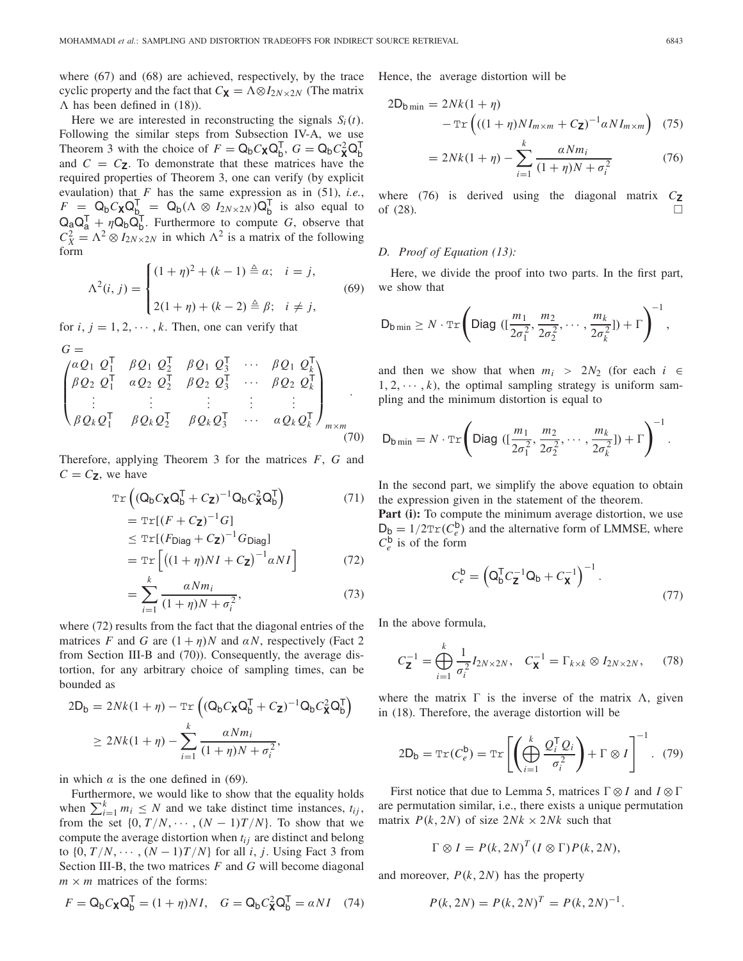where (67) and (68) are achieved, respectively, by the trace cyclic property and the fact that  $C_{\mathbf{X}} = \Lambda \otimes I_{2N \times 2N}$  (The matrix  $\Lambda$  has been defined in (18)).

Here we are interested in reconstructing the signals  $S_i(t)$ . Following the similar steps from Subsection IV-A, we use Theorem 3 with the choice of  $F = Q_b C_{\mathbf{X}} Q_b^{\mathsf{T}}$ ,  $G = Q_b C_{\mathbf{X}}^2 Q_b^{\mathsf{T}}$ and  $C = C$ **z**. To demonstrate that these matrices have the required properties of Theorem 3, one can verify (by explicit evaulation) that *F* has the same expression as in (51), *i.e.*,  $F = Q_b C_{\mathbf{X}} Q_{b_{\mathbf{y}}}^{\mathsf{T}} = Q_b (\Lambda \otimes I_{2N \times 2N}) Q_b^{\mathsf{T}}$  is also equal to  $Q_a Q_a^T + \eta Q_b Q_b^T$ . Furthermore to compute *G*, observe that  $C_X^2 = \Lambda^2 \otimes I_{2N \times 2N}$  in which  $\Lambda^2$  is a matrix of the following form

$$
\Lambda^{2}(i, j) = \begin{cases} (1 + \eta)^{2} + (k - 1) \stackrel{\Delta}{=} \alpha; \quad i = j, \\ 2(1 + \eta) + (k - 2) \stackrel{\Delta}{=} \beta; \quad i \neq j, \end{cases}
$$
(69)

for  $i, j = 1, 2, \dots, k$ . Then, one can verify that

$$
G = \begin{pmatrix} aQ_1 & Q_1^{\mathsf{T}} & \beta Q_1 & Q_2^{\mathsf{T}} & \beta Q_1 & Q_3^{\mathsf{T}} & \cdots & \beta Q_1 & Q_k^{\mathsf{T}} \\ \beta Q_2 & Q_1^{\mathsf{T}} & aQ_2 & Q_2^{\mathsf{T}} & \beta Q_2 & Q_3^{\mathsf{T}} & \cdots & \beta Q_2 & Q_k^{\mathsf{T}} \\ \vdots & \vdots & \vdots & \vdots & \vdots & \vdots \\ \beta Q_k & Q_1^{\mathsf{T}} & \beta Q_k & Q_2^{\mathsf{T}} & \beta Q_k & Q_3^{\mathsf{T}} & \cdots & aQ_k & Q_k^{\mathsf{T}} \end{pmatrix}_{m \times m} \tag{70}
$$

Therefore, applying Theorem 3 for the matrices *F*, *G* and  $C = C_{\mathbf{Z}}$ , we have

$$
\operatorname{Tr}\left((\mathbf{Q}_{b}C_{\mathbf{X}}\mathbf{Q}_{b}^{T} + C_{\mathbf{Z}})^{-1}\mathbf{Q}_{b}C_{\mathbf{X}}^{2}\mathbf{Q}_{b}^{T}\right) \tag{71}
$$

$$
= \operatorname{Tr}[(F + C_{\mathbf{Z}})^{-1}G]
$$
  
\n
$$
\leq \operatorname{Tr}[(F_{\text{Diag}} + C_{\mathbf{Z}})^{-1}G_{\text{Diag}}]
$$
  
\n
$$
= \operatorname{Tr}[((1 + \eta)NI + C_{\mathbf{Z}})^{-1}\alpha NI]
$$
 (72)

$$
=\sum_{i=1}^{k} \frac{\alpha N m_i}{(1+\eta)N+\sigma_i^2},\tag{73}
$$

where (72) results from the fact that the diagonal entries of the matrices *F* and *G* are  $(1 + \eta)N$  and  $\alpha N$ , respectively (Fact 2) from Section III-B and (70)). Consequently, the average distortion, for any arbitrary choice of sampling times, can be bounded as

$$
2\mathsf{D}_{\mathsf{b}} = 2Nk(1+\eta) - \operatorname{Tr}\left((\mathsf{Q}_{\mathsf{b}}C_{\mathsf{X}}\mathsf{Q}_{\mathsf{b}}^{\mathsf{T}} + C_{\mathsf{Z}})^{-1}\mathsf{Q}_{\mathsf{b}}C_{\mathsf{X}}^{2}\mathsf{Q}_{\mathsf{b}}^{\mathsf{T}}\right)
$$

$$
\geq 2Nk(1+\eta) - \sum_{i=1}^{k} \frac{\alpha N m_{i}}{(1+\eta)N + \sigma_{i}^{2}},
$$

in which  $\alpha$  is the one defined in (69).

Furthermore, we would like to show that the equality holds when  $\sum_{i=1}^{k} m_i \leq N$  and we take distinct time instances,  $t_{ij}$ , from the set  $\{0, T/N, \dots, (N-1)T/N\}$ . To show that we compute the average distortion when *tij* are distinct and belong to  $\{0, T/N, \cdots, (N-1)T/N\}$  for all *i*, *j*. Using Fact 3 from Section III-B, the two matrices *F* and *G* will become diagonal  $m \times m$  matrices of the forms:

$$
F = \mathsf{Q}_{b} C_{\mathbf{X}} \mathsf{Q}_{b}^{\mathsf{T}} = (1 + \eta) NI, \quad G = \mathsf{Q}_{b} C_{\mathbf{X}}^{2} \mathsf{Q}_{b}^{\mathsf{T}} = \alpha NI \quad (74)
$$

Hence, the average distortion will be

$$
2D_{b\min} = 2Nk(1+\eta)
$$

$$
- \operatorname{Tr}\left(((1+\eta)NI_{m\times m} + C_{\mathbf{Z}})^{-1}\alpha NI_{m\times m}\right) (75)
$$

$$
= 2Nk(1+\eta) - \sum_{i=1}^{k} \frac{\alpha N m_i}{(1+\eta)N + \sigma_i^2}
$$
(76)

where (76) is derived using the diagonal matrix  $C$ **z** of  $(28)$ .

# *D. Proof of Equation (13):*

Here, we divide the proof into two parts. In the first part, we show that

$$
\mathsf{D}_{\mathsf{b}\min} \geq N \cdot \mathrm{Tr}\Bigg(\mathsf{Diag}\big(\big[\frac{m_1}{2\sigma_1^2},\frac{m_2}{2\sigma_2^2},\cdots,\frac{m_k}{2\sigma_k^2}\big]\big) + \Gamma\Bigg)^{-1}\,,
$$

and then we show that when  $m_i > 2N_2$  (for each  $i \in$  $1, 2, \dots, k$ , the optimal sampling strategy is uniform sampling and the minimum distortion is equal to

$$
D_{b \min} = N \cdot \text{Tr} \left( Diag \left( \left( \frac{m_1}{2\sigma_1^2}, \frac{m_2}{2\sigma_2^2}, \cdots, \frac{m_k}{2\sigma_k^2} \right) \right) + \Gamma \right)^{-1}.
$$

In the second part, we simplify the above equation to obtain the expression given in the statement of the theorem.

Part (i): To compute the minimum average distortion, we use  $D_p = 1/2 \text{Tr}(C_e^b)$  and the alternative form of LMMSE, where  $C_e^{\mathsf{b}}$  is of the form

$$
C_e^{\mathsf{b}} = \left(\mathsf{Q}_{\mathsf{b}}^{\mathsf{T}} C_{\mathsf{Z}}^{-1} \mathsf{Q}_{\mathsf{b}} + C_{\mathsf{X}}^{-1}\right)^{-1}.
$$
\n(77)

In the above formula,

$$
C_{\mathbf{Z}}^{-1} = \bigoplus_{i=1}^{k} \frac{1}{\sigma_i^2} I_{2N \times 2N}, \quad C_{\mathbf{X}}^{-1} = \Gamma_{k \times k} \otimes I_{2N \times 2N}, \quad (78)
$$

where the matrix  $\Gamma$  is the inverse of the matrix  $\Lambda$ , given in (18). Therefore, the average distortion will be

$$
2\mathsf{D}_{\mathsf{b}} = \operatorname{Tr}(C_e^{\mathsf{b}}) = \operatorname{Tr}\left[\left(\bigoplus_{i=1}^k \frac{\mathcal{Q}_i^{\mathsf{T}} \mathcal{Q}_i}{\sigma_i^2}\right) + \Gamma \otimes I\right]^{-1}.
$$
 (79)

First notice that due to Lemma 5, matrices  $\Gamma \otimes I$  and  $I \otimes \Gamma$ are permutation similar, i.e., there exists a unique permutation matrix  $P(k, 2N)$  of size  $2Nk \times 2Nk$  such that

$$
\Gamma \otimes I = P(k, 2N)^{T} (I \otimes \Gamma) P(k, 2N),
$$

and moreover,  $P(k, 2N)$  has the property

$$
P(k, 2N) = P(k, 2N)^{T} = P(k, 2N)^{-1}.
$$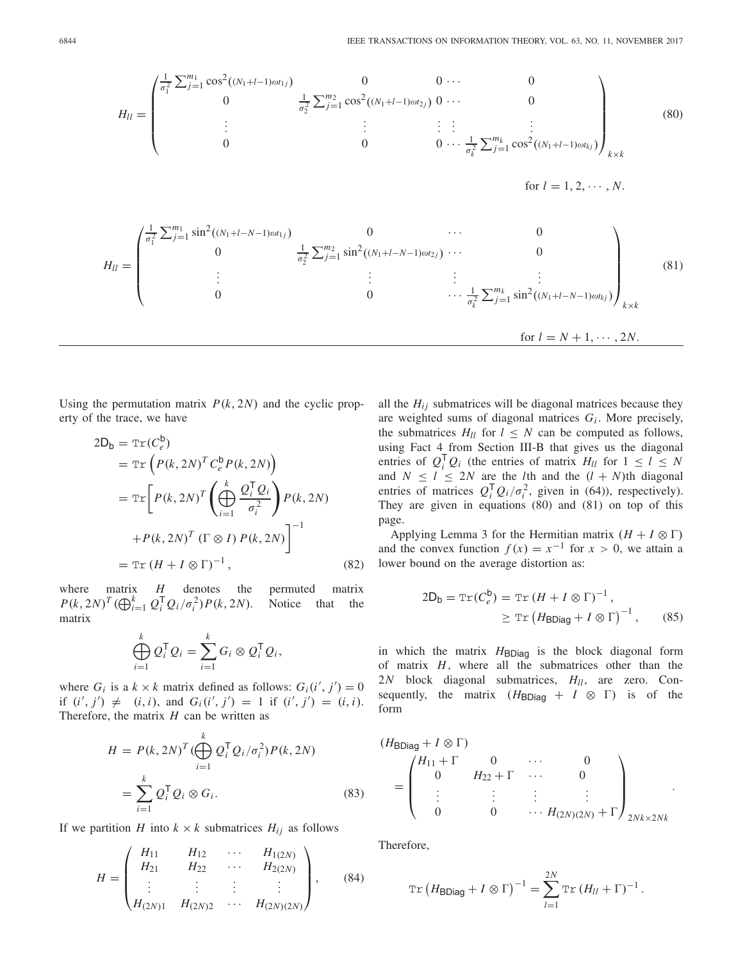$$
H_{ll} = \begin{pmatrix} \frac{1}{\sigma_1^2} \sum_{j=1}^{m_1} \cos^2((N_1 + l - 1)\omega t_{1j}) & 0 & 0 & \cdots & 0 \\ 0 & \frac{1}{\sigma_2^2} \sum_{j=1}^{m_2} \cos^2((N_1 + l - 1)\omega t_{2j}) & 0 & \cdots & 0 \\ \vdots & \vdots & \vdots & \vdots & \vdots & \vdots \\ 0 & 0 & 0 & \cdots & \frac{1}{\sigma_k^2} \sum_{j=1}^{m_k} \cos^2((N_1 + l - 1)\omega t_{kj}) \end{pmatrix}_{k \times k}
$$
\nfor  $l = 1, 2, \cdots, N$ .  
\n
$$
H_{ll} = \begin{pmatrix} \frac{1}{\sigma_1^2} \sum_{j=1}^{m_1} \sin^2((N_1 + l - N - 1)\omega t_{1j}) & 0 & \cdots & 0 \\ 0 & \frac{1}{\sigma_2^2} \sum_{j=1}^{m_2} \sin^2((N_1 + l - N - 1)\omega t_{2j}) & \cdots & 0 \\ \vdots & \vdots & \vdots & \vdots & \vdots \\ 0 & 0 & \cdots & \frac{1}{\sigma_k^2} \sum_{j=1}^{m_k} \sin^2((N_1 + l - N - 1)\omega t_{kj}) \end{pmatrix}_{k \times k}
$$
\nfor  $l = N + 1, \cdots, 2N$ .  
\n(81)

Using the permutation matrix  $P(k, 2N)$  and the cyclic property of the trace, we have

$$
2D_{b} = \operatorname{Tr}(C_{e}^{b})
$$
  
\n
$$
= \operatorname{Tr}\left(P(k, 2N)^{T} C_{e}^{b} P(k, 2N)\right)
$$
  
\n
$$
= \operatorname{Tr}\left[P(k, 2N)^{T} \left(\bigoplus_{i=1}^{k} \frac{Q_{i}^{T} Q_{i}}{\sigma_{i}^{2}}\right) P(k, 2N)
$$
  
\n
$$
+ P(k, 2N)^{T} \left(\Gamma \otimes I\right) P(k, 2N)\right]^{-1}
$$
  
\n
$$
= \operatorname{Tr}\left(H + I \otimes \Gamma\right)^{-1}, \qquad (82)
$$

where matrix *H* denotes the permuted matrix *P*(*k*, 2*N*)<sup>*T*</sup> ( $\bigoplus_{i=1}^{k} Q_i^T Q_i / \sigma_i^2$ )*P*(*k*, 2*N*). Notice that the matrix

$$
\bigoplus_{i=1}^k \mathcal{Q}_i^{\mathsf{T}} \mathcal{Q}_i = \sum_{i=1}^k G_i \otimes \mathcal{Q}_i^{\mathsf{T}} \mathcal{Q}_i,
$$

where  $G_i$  is a  $k \times k$  matrix defined as follows:  $G_i(i', j') = 0$ if  $(i', j') \neq (i, i)$ , and  $G_i(i', j') = 1$  if  $(i', j') = (i, i)$ . Therefore, the matrix *H* can be written as

$$
H = P(k, 2N)^T \left( \bigoplus_{i=1}^k Q_i^T Q_i / \sigma_i^2 \right) P(k, 2N)
$$
  
= 
$$
\sum_{i=1}^k Q_i^T Q_i \otimes G_i.
$$
 (83)

If we partition *H* into  $k \times k$  submatrices  $H_{ij}$  as follows

$$
H = \begin{pmatrix} H_{11} & H_{12} & \cdots & H_{1(2N)} \\ H_{21} & H_{22} & \cdots & H_{2(2N)} \\ \vdots & \vdots & \vdots & \vdots \\ H_{(2N)1} & H_{(2N)2} & \cdots & H_{(2N)(2N)} \end{pmatrix}, \quad (84)
$$

all the  $H_{ij}$  submatrices will be diagonal matrices because they are weighted sums of diagonal matrices *Gi* . More precisely, the submatrices  $H_{ll}$  for  $l \leq N$  can be computed as follows, using Fact 4 from Section III-B that gives us the diagonal entries of  $Q_i^T Q_i$  (the entries of matrix  $H_{ll}$  for  $1 \leq l \leq N$ and  $N \leq l \leq 2N$  are the *l*th and the  $(l + N)$ th diagonal entries of matrices  $Q_i^T Q_i / \sigma_i^2$ , given in (64)), respectively). They are given in equations (80) and (81) on top of this page.

Applying Lemma 3 for the Hermitian matrix  $(H + I \otimes \Gamma)$ and the convex function  $f(x) = x^{-1}$  for  $x > 0$ , we attain a lower bound on the average distortion as:

$$
2D_{b} = \text{Tr}(C_{e}^{b}) = \text{Tr}(H + I \otimes \Gamma)^{-1},
$$
  
 
$$
\geq \text{Tr}(H_{\text{BDiag}} + I \otimes \Gamma)^{-1}, \qquad (85)
$$

in which the matrix  $H_{BDiag}$  is the block diagonal form of matrix *H*, where all the submatrices other than the 2*N* block diagonal submatrices,  $H_{ll}$ , are zero. Consequently, the matrix  $(H_{BDiaq} + I \otimes \Gamma)$  is of the form

$$
(H_{\text{BDiag}} + I \otimes \Gamma) = \begin{pmatrix} H_{11} + \Gamma & 0 & \cdots & 0 \\ 0 & H_{22} + \Gamma & \cdots & 0 \\ \vdots & \vdots & \vdots & \vdots \\ 0 & 0 & \cdots & H_{(2N)(2N)} + \Gamma \end{pmatrix}_{2Nk \times 2Nk}.
$$

Therefore,

$$
\operatorname{Tr}\left(H_{\text{BDiag}}+I\otimes\Gamma\right)^{-1}=\sum_{l=1}^{2N}\operatorname{Tr}\left(H_{ll}+\Gamma\right)^{-1}.
$$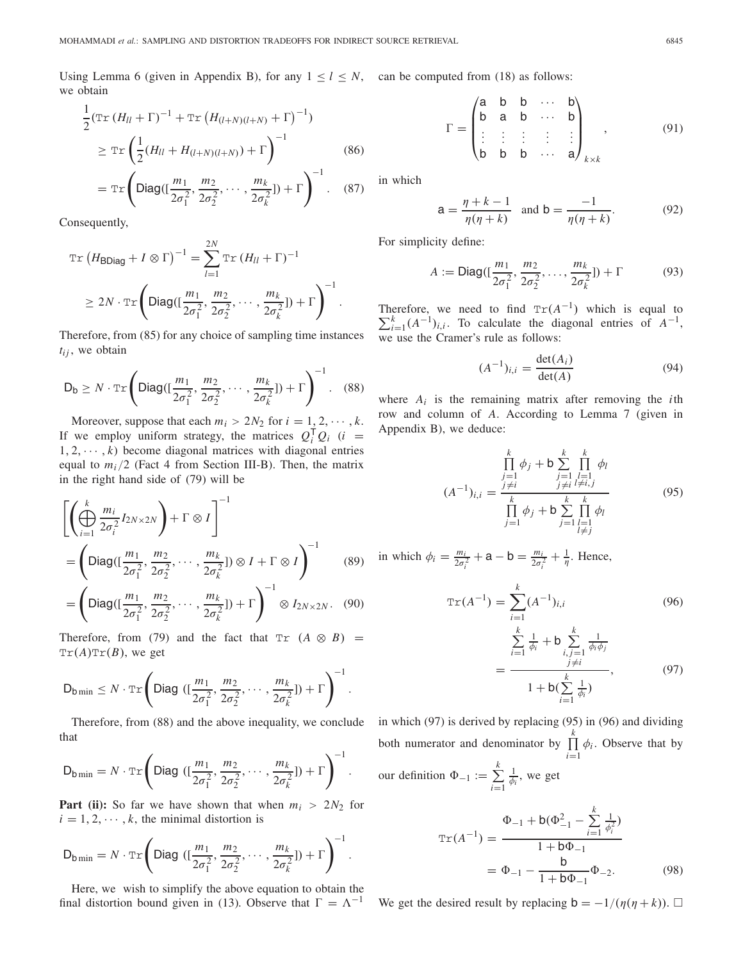Using Lemma 6 (given in Appendix B), for any  $1 \leq l \leq N$ , can be computed from (18) as follows: we obtain

$$
\frac{1}{2} (\text{Tr} (H_{ll} + \Gamma)^{-1} + \text{Tr} (H_{(l+N)(l+N)} + \Gamma)^{-1})
$$
\n
$$
\geq \text{Tr} \left( \frac{1}{2} (H_{ll} + H_{(l+N)(l+N)}) + \Gamma \right)^{-1}
$$
\n(86)\n
$$
= \text{Tr} \left( \text{Diag}([\frac{m_1}{2\sigma_1^2}, \frac{m_2}{2\sigma_2^2}, \cdots, \frac{m_k}{2\sigma_k^2}]) + \Gamma \right)^{-1} .
$$
\n(87)

Consequently,

$$
\operatorname{Tr}\left(H_{\text{BDiag}} + I \otimes \Gamma\right)^{-1} = \sum_{l=1}^{2N} \operatorname{Tr}\left(H_{ll} + \Gamma\right)^{-1}
$$

$$
\geq 2N \cdot \operatorname{Tr}\left(\text{Diag}\left(\left[\frac{m_1}{2\sigma_1^2}, \frac{m_2}{2\sigma_2^2}, \cdots, \frac{m_k}{2\sigma_k^2}\right]\right) + \Gamma\right)^{-1}.
$$

Therefore, from (85) for any choice of sampling time instances  $t_{ij}$ , we obtain

$$
\mathsf{D}_{\mathsf{b}} \geq N \cdot \mathbb{Tr}\left(\mathsf{Diag}([\frac{m_1}{2\sigma_1^2}, \frac{m_2}{2\sigma_2^2}, \cdots, \frac{m_k}{2\sigma_k^2}]) + \Gamma\right)^{-1}.\tag{88}
$$

Moreover, suppose that each  $m_i > 2N_2$  for  $i = 1, 2, \dots, k$ . If we employ uniform strategy, the matrices  $Q_i^T Q_i$  (*i* =  $1, 2, \dots, k$ ) become diagonal matrices with diagonal entries equal to  $m_i/2$  (Fact 4 from Section III-B). Then, the matrix in the right hand side of (79) will be

$$
\left[\left(\bigoplus_{i=1}^{k} \frac{m_i}{2\sigma_i^2} I_{2N \times 2N}\right) + \Gamma \otimes I\right]^{-1}
$$
\n
$$
= \left(\text{Diag}(\left[\frac{m_1}{2\sigma_1^2}, \frac{m_2}{2\sigma_2^2}, \cdots, \frac{m_k}{2\sigma_k^2}\right]) \otimes I + \Gamma \otimes I\right)^{-1} \qquad (89)
$$
\n
$$
= \left(\text{Diag}(\left[\frac{m_1}{2\sigma_1^2}, \frac{m_2}{2\sigma_2^2}, \cdots, \frac{m_k}{2\sigma_k^2}\right]) + \Gamma\right)^{-1} \otimes I_{2N \times 2N}. \quad (90)
$$

Therefore, from (79) and the fact that  $Tr (A \otimes B) =$  $Tr(A)Tr(B)$ , we get

$$
\mathsf{D}_{\mathsf{b}\min} \leq N \cdot \mathrm{Tr}\left(\textsf{Diag}\left([\frac{m_1}{2\sigma_1^2},\frac{m_2}{2\sigma_2^2},\cdots,\frac{m_k}{2\sigma_k^2}]\right) + \Gamma\right)^{-1}.
$$

Therefore, from (88) and the above inequality, we conclude that

$$
D_{b \min} = N \cdot \text{Tr} \left( Diag \left( \left[ \frac{m_1}{2\sigma_1^2}, \frac{m_2}{2\sigma_2^2}, \cdots, \frac{m_k}{2\sigma_k^2} \right] \right) + \Gamma \right)^{-1}.
$$

**Part (ii):** So far we have shown that when  $m_i > 2N_2$  for  $i = 1, 2, \dots, k$ , the minimal distortion is

$$
D_{b \min} = N \cdot \text{Tr} \left( Diag \left( \left( \frac{m_1}{2\sigma_1^2}, \frac{m_2}{2\sigma_2^2}, \cdots, \frac{m_k}{2\sigma_k^2} \right) \right) + \Gamma \right)^{-1}.
$$

Here, we wish to simplify the above equation to obtain the final distortion bound given in (13). Observe that  $\Gamma = \Lambda^{-1}$ 

$$
\Gamma = \begin{pmatrix}\na & b & b & \cdots & b \\
b & a & b & \cdots & b \\
\vdots & \vdots & \vdots & \vdots & \vdots \\
b & b & b & \cdots & a\n\end{pmatrix}_{k \times k},
$$
\n(91)

in which

$$
a = \frac{\eta + k - 1}{\eta(\eta + k)} \text{ and } b = \frac{-1}{\eta(\eta + k)}.
$$
 (92)

For simplicity define:

$$
A := \text{Diag}([\frac{m_1}{2\sigma_1^2}, \frac{m_2}{2\sigma_2^2}, \dots, \frac{m_k}{2\sigma_k^2}]) + \Gamma
$$
 (93)

Therefore, we need to find  $Tr(A^{-1})$  which is equal to  $\sum_{k=1}^{k} (A^{-1})$ . To calculate the diagonal entries of  $A^{-1}$  $\sum_{i=1}^{k} (A^{-1})_{i,i}$ . To calculate the diagonal entries of  $A^{-1}$ , we use the Cramer's rule as follows:

$$
(A^{-1})_{i,i} = \frac{\det(A_i)}{\det(A)}
$$
(94)

where  $A_i$  is the remaining matrix after removing the *i*th row and column of *A*. According to Lemma 7 (given in Appendix B), we deduce:

$$
(A^{-1})_{i,i} = \frac{\prod_{j=1}^{k} \phi_j + b \sum_{j=1}^{k} \prod_{\substack{l=1 \ l \neq i,j}}^{k} \phi_l}{\prod_{j=1}^{k} \phi_j + b \sum_{j=1}^{k} \prod_{\substack{l=1 \ l \neq j}}^{k} \phi_l}
$$
(95)

in which  $\phi_i = \frac{m_i}{2\sigma_i^2} + a - b = \frac{m_i}{2\sigma_i^2} + \frac{1}{\eta}$ . Hence,

$$
\operatorname{Tr}(A^{-1}) = \sum_{i=1}^{k} (A^{-1})_{i,i} \tag{96}
$$

$$
\sum_{i=1}^{k} \frac{1}{\phi_i} + \mathsf{b} \sum_{\substack{i,j=1 \\ j \neq i}}^{k} \frac{1}{\phi_i \phi_j} \\
= \frac{1}{1 + \mathsf{b}(\sum_{i=1}^{k} \frac{1}{\phi_i})},\tag{97}
$$

in which (97) is derived by replacing (95) in (96) and dividing both numerator and denominator by  $\prod_{k=1}^{k}$  $\prod_{i=1}$   $\phi_i$ . Observe that by our definition  $\Phi_{-1} := \sum^k$ *i*=1  $\frac{1}{\phi_i}$ , we get

$$
\operatorname{Tr}(A^{-1}) = \frac{\Phi_{-1} + \mathsf{b}(\Phi_{-1}^2 - \sum_{i=1}^k \frac{1}{\phi_i^2})}{1 + \mathsf{b}\Phi_{-1}}
$$

$$
= \Phi_{-1} - \frac{\mathsf{b}}{1 + \mathsf{b}\Phi_{-1}}\Phi_{-2}.
$$
(98)

We get the desired result by replacing  $\mathbf{b} = -1/(\eta(\eta + k))$ .  $\Box$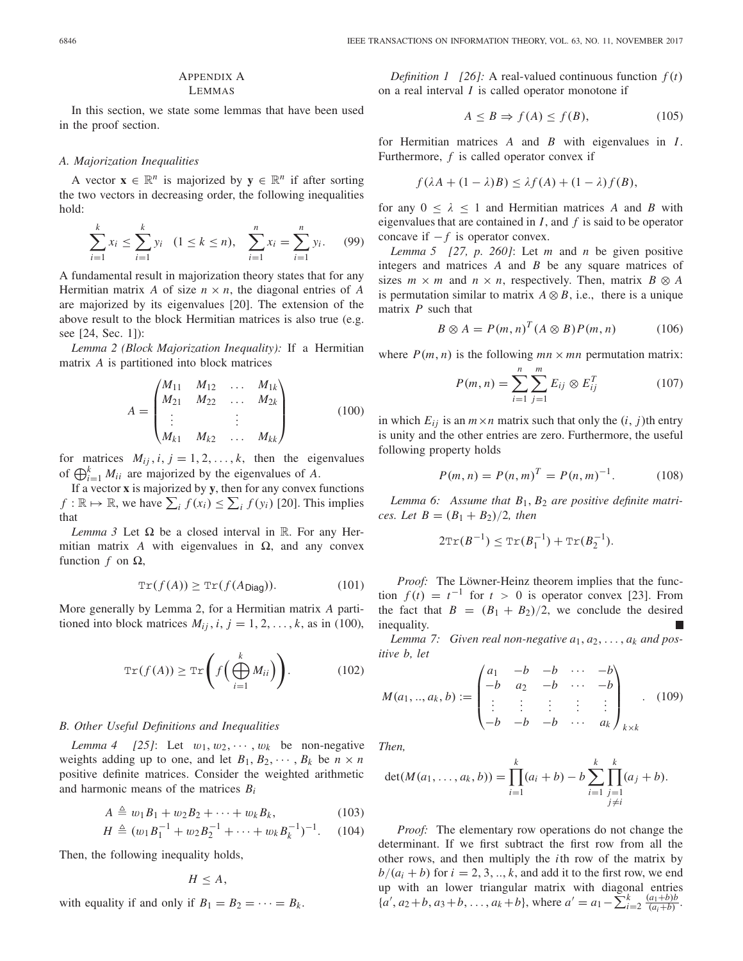# APPENDIX A

LEMMAS

In this section, we state some lemmas that have been used in the proof section.

# *A. Majorization Inequalities*

A vector  $\mathbf{x} \in \mathbb{R}^n$  is majorized by  $\mathbf{y} \in \mathbb{R}^n$  if after sorting the two vectors in decreasing order, the following inequalities hold:

$$
\sum_{i=1}^{k} x_i \le \sum_{i=1}^{k} y_i \quad (1 \le k \le n), \quad \sum_{i=1}^{n} x_i = \sum_{i=1}^{n} y_i. \tag{99}
$$

A fundamental result in majorization theory states that for any Hermitian matrix A of size  $n \times n$ , the diagonal entries of A are majorized by its eigenvalues [20]. The extension of the above result to the block Hermitian matrices is also true (e.g. see [24, Sec. 1]):

*Lemma 2 (Block Majorization Inequality):* If a Hermitian matrix *A* is partitioned into block matrices

$$
A = \begin{pmatrix} M_{11} & M_{12} & \dots & M_{1k} \\ M_{21} & M_{22} & \dots & M_{2k} \\ \vdots & & \vdots & \\ M_{k1} & M_{k2} & \dots & M_{kk} \end{pmatrix}
$$
 (100)

for matrices  $M_{ij}$ ,  $i, j = 1, 2, ..., k$ , then the eigenvalues of  $\bigoplus_{i=1}^{k} M_{ii}$  are majorized by the eigenvalues of *A*.

If a vector **x** is majorized by **y**, then for any convex functions *f* :  $\mathbb{R} \mapsto \mathbb{R}$ , we have  $\sum_{i} f(x_i) \leq \sum_{i} f(y_i)$  [20]. This implies that

*Lemma 3* Let  $\Omega$  be a closed interval in R. For any Hermitian matrix A with eigenvalues in  $\Omega$ , and any convex function  $f$  on  $\Omega$ ,

$$
\operatorname{Tr}(f(A)) \ge \operatorname{Tr}(f(A_{\text{Diag}})). \tag{101}
$$

More generally by Lemma 2, for a Hermitian matrix *A* partitioned into block matrices  $M_{ij}$ ,  $i, j = 1, 2, \ldots, k$ , as in (100),

$$
\operatorname{Tr}(f(A)) \ge \operatorname{Tr}\left(f\left(\bigoplus_{i=1}^{k} M_{ii}\right)\right). \tag{102}
$$

#### *B. Other Useful Definitions and Inequalities*

*Lemma 4* [25]: Let  $w_1, w_2, \dots, w_k$  be non-negative weights adding up to one, and let  $B_1, B_2, \cdots, B_k$  be  $n \times n$ positive definite matrices. Consider the weighted arithmetic and harmonic means of the matrices *Bi*

$$
A \triangleq w_1 B_1 + w_2 B_2 + \cdots + w_k B_k, \qquad (103)
$$

$$
H \triangleq (w_1 B_1^{-1} + w_2 B_2^{-1} + \dots + w_k B_k^{-1})^{-1}.
$$
 (104)

Then, the following inequality holds,

 $H \leq A$ ,

with equality if and only if  $B_1 = B_2 = \cdots = B_k$ .

*Definition 1 [26]:* A real-valued continuous function  $f(t)$ on a real interval *I* is called operator monotone if

$$
A \le B \Rightarrow f(A) \le f(B), \tag{105}
$$

for Hermitian matrices *A* and *B* with eigenvalues in *I*. Furthermore, *f* is called operator convex if

$$
f(\lambda A + (1 - \lambda)B) \le \lambda f(A) + (1 - \lambda)f(B),
$$

for any  $0 \leq \lambda \leq 1$  and Hermitian matrices A and B with eigenvalues that are contained in *I*, and *f* is said to be operator concave if  $-f$  is operator convex.

*Lemma 5 [27, p. 260]*: Let *m* and *n* be given positive integers and matrices *A* and *B* be any square matrices of sizes  $m \times m$  and  $n \times n$ , respectively. Then, matrix  $B \otimes A$ is permutation similar to matrix  $A \otimes B$ , i.e., there is a unique matrix *P* such that

$$
B \otimes A = P(m, n)^{T} (A \otimes B) P(m, n)
$$
 (106)

where  $P(m, n)$  is the following  $mn \times mn$  permutation matrix:

$$
P(m, n) = \sum_{i=1}^{n} \sum_{j=1}^{m} E_{ij} \otimes E_{ij}^{T}
$$
 (107)

in which  $E_{ij}$  is an  $m \times n$  matrix such that only the  $(i, j)$ th entry is unity and the other entries are zero. Furthermore, the useful following property holds

$$
P(m, n) = P(n, m)T = P(n, m)-1.
$$
 (108)

*Lemma 6: Assume that B*1, *B*<sup>2</sup> *are positive definite matrices. Let*  $B = (B_1 + B_2)/2$ *, then* 

$$
2\text{Tr}(B^{-1}) \leq \text{Tr}(B_1^{-1}) + \text{Tr}(B_2^{-1}).
$$

*Proof:* The Löwner-Heinz theorem implies that the function  $f(t) = t^{-1}$  for  $t > 0$  is operator convex [23]. From the fact that  $B = (B_1 + B_2)/2$ , we conclude the desired inequality.

Lemma 7: Given real non-negative  $a_1, a_2, \ldots, a_k$  and pos*itive b, let*

$$
M(a_1,..,a_k,b) := \begin{pmatrix} a_1 & -b & -b & \cdots & -b \\ -b & a_2 & -b & \cdots & -b \\ \vdots & \vdots & \vdots & \vdots & \vdots \\ -b & -b & -b & \cdots & a_k \end{pmatrix}_{k \times k} . \quad (109)
$$

*Then,*

$$
\det(M(a_1,\ldots,a_k,b)) = \prod_{i=1}^k (a_i+b) - b \sum_{i=1}^k \prod_{\substack{j=1 \ j \neq i}}^k (a_j+b).
$$

*Proof:* The elementary row operations do not change the determinant. If we first subtract the first row from all the other rows, and then multiply the *i*th row of the matrix by  $b/(a_i + b)$  for  $i = 2, 3, \ldots, k$ , and add it to the first row, we end up with an lower triangular matrix with diagonal entries  ${a'}$ ,  $a_2 + b$ ,  $a_3 + b$ , ...,  $a_k + b$ }, where  $a' = a_1 - \sum_{i=2}^{k} \frac{(a_1 + b)b}{(a_i + b)}$ .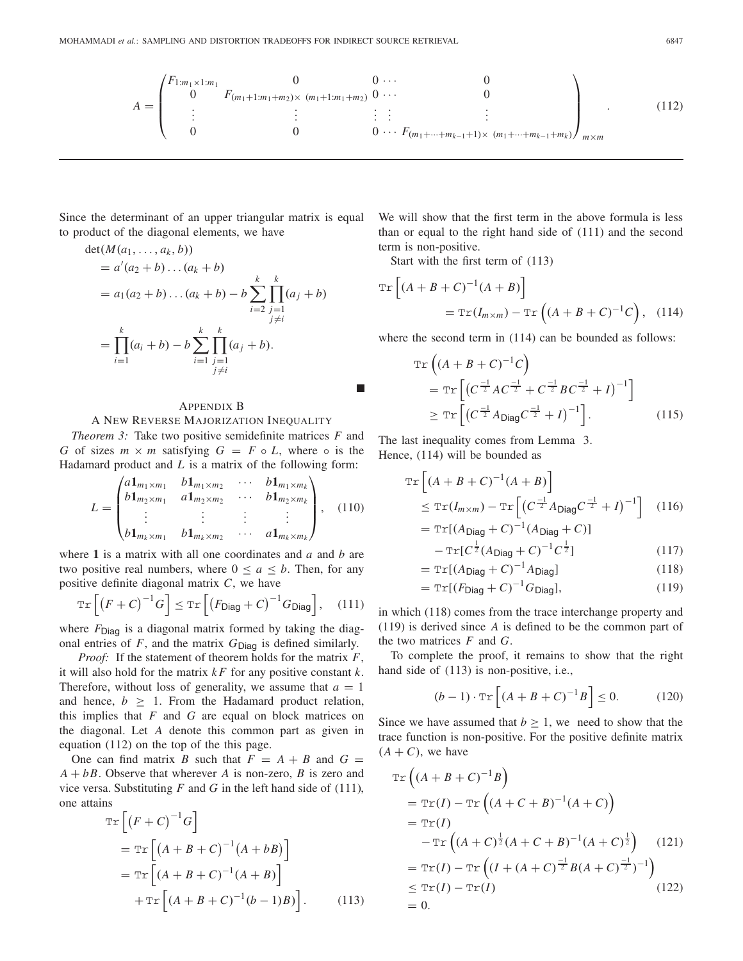$$
A = \begin{pmatrix} F_{1:m_1 \times 1:m_1} & 0 & 0 & \cdots & 0 \\ 0 & F_{(m_1+1:m_1+m_2)\times (m_1+1:m_1+m_2)} & 0 & \cdots & 0 \\ \vdots & \vdots & \vdots & \vdots & \vdots & \vdots \\ 0 & 0 & 0 & \cdots & F_{(m_1+\cdots+m_{k-1}+1)\times (m_1+\cdots+m_{k-1}+m_k)} \end{pmatrix}_{m \times m} \tag{112}
$$

П

Since the determinant of an upper triangular matrix is equal to product of the diagonal elements, we have

$$
\det(M(a_1, ..., a_k, b))
$$
  
=  $a'(a_2 + b)...(a_k + b)$   
=  $a_1(a_2 + b)...(a_k + b) - b \sum_{i=2}^k \prod_{\substack{j=1 \ j \neq i}}^{k} (a_j + b)$   
=  $\prod_{i=1}^k (a_i + b) - b \sum_{i=1}^k \prod_{\substack{j=1 \ j \neq i}}^{k} (a_j + b).$ 

## APPENDIX B

# A NEW REVERSE MAJORIZATION INEQUALITY

*Theorem 3:* Take two positive semidefinite matrices *F* and *G* of sizes  $m \times m$  satisfying  $G = F \circ L$ , where  $\circ$  is the Hadamard product and *L* is a matrix of the following form:

$$
L = \begin{pmatrix} a\mathbf{1}_{m_1 \times m_1} & b\mathbf{1}_{m_1 \times m_2} & \cdots & b\mathbf{1}_{m_1 \times m_k} \\ b\mathbf{1}_{m_2 \times m_1} & a\mathbf{1}_{m_2 \times m_2} & \cdots & b\mathbf{1}_{m_2 \times m_k} \\ \vdots & \vdots & \vdots & \vdots \\ b\mathbf{1}_{m_k \times m_1} & b\mathbf{1}_{m_k \times m_2} & \cdots & a\mathbf{1}_{m_k \times m_k} \end{pmatrix}, \quad (110)
$$

where **1** is a matrix with all one coordinates and *a* and *b* are two positive real numbers, where  $0 \le a \le b$ . Then, for any positive definite diagonal matrix *C*, we have

$$
\operatorname{Tr}\left[\left(F+C\right)^{-1}G\right] \leq \operatorname{Tr}\left[\left(F_{\text{Diag}} + C\right)^{-1}G_{\text{Diag}}\right],\quad(111)
$$

where  $F_{\text{Diag}}$  is a diagonal matrix formed by taking the diagonal entries of  $F$ , and the matrix  $G_{\text{Diag}}$  is defined similarly.

*Proof:* If the statement of theorem holds for the matrix *F*, it will also hold for the matrix *k F* for any positive constant *k*. Therefore, without loss of generality, we assume that  $a = 1$ and hence,  $b \geq 1$ . From the Hadamard product relation, this implies that *F* and *G* are equal on block matrices on the diagonal. Let *A* denote this common part as given in equation (112) on the top of the this page.

One can find matrix *B* such that  $F = A + B$  and  $G =$  $A + bB$ . Observe that wherever *A* is non-zero, *B* is zero and vice versa. Substituting *F* and *G* in the left hand side of (111), one attains

$$
\operatorname{Tr}\left[\left(F+C\right)^{-1}G\right]
$$
\n
$$
= \operatorname{Tr}\left[\left(A+B+C\right)^{-1}\left(A+bB\right)\right]
$$
\n
$$
= \operatorname{Tr}\left[\left(A+B+C\right)^{-1}\left(A+B\right)\right]
$$
\n
$$
+ \operatorname{Tr}\left[\left(A+B+C\right)^{-1}\left(b-1\right)B\right]. \tag{113}
$$

We will show that the first term in the above formula is less than or equal to the right hand side of (111) and the second term is non-positive.

Start with the first term of (113)

$$
\operatorname{Tr}\left[\left(A+B+C\right)^{-1}\left(A+B\right)\right]
$$

$$
=\operatorname{Tr}(I_{m\times m})-\operatorname{Tr}\left(\left(A+B+C\right)^{-1}C\right),\quad(114)
$$

where the second term in  $(114)$  can be bounded as follows:

$$
\operatorname{Tr}\left((A+B+C)^{-1}C\right) \n= \operatorname{Tr}\left[\left(C^{\frac{-1}{2}}AC^{\frac{-1}{2}}+C^{\frac{-1}{2}}BC^{\frac{-1}{2}}+I\right)^{-1}\right] \n\ge \operatorname{Tr}\left[\left(C^{\frac{-1}{2}}A_{\text{Diag}}C^{\frac{-1}{2}}+I\right)^{-1}\right].
$$
\n(115)

The last inequality comes from Lemma 3. Hence, (114) will be bounded as

$$
\operatorname{Tr}\left[\left(A+B+C\right)^{-1}(A+B)\right]
$$
  
\n
$$
\leq \operatorname{Tr}(I_{m \times m}) - \operatorname{Tr}\left[\left(C^{-\frac{1}{2}}A_{\text{Diag}}C^{-\frac{1}{2}}+I\right)^{-1}\right] \quad (116)
$$
  
\n
$$
= \operatorname{Tr}\left[\left(A_{\text{Diag}}+C\right)^{-1}(A_{\text{Diag}}+C)\right]
$$

$$
-\operatorname{Tr}[C^{\frac{1}{2}}(A_{\text{Diag}} + C)^{-1}C^{\frac{1}{2}}]
$$
 (117)

$$
= \operatorname{Tr}[(A_{\text{Diag}} + C)^{-1} A_{\text{Diag}}] \tag{118}
$$

$$
= \operatorname{Tr}[(F_{\text{Diag}} + C)^{-1}G_{\text{Diag}}],\tag{119}
$$

in which (118) comes from the trace interchange property and (119) is derived since *A* is defined to be the common part of the two matrices *F* and *G*.

To complete the proof, it remains to show that the right hand side of  $(113)$  is non-positive, i.e.,

$$
(b-1)\cdot \operatorname{Tr}\left[\left(A+B+C\right)^{-1}B\right] \le 0. \tag{120}
$$

Since we have assumed that  $b \geq 1$ , we need to show that the trace function is non-positive. For the positive definite matrix  $(A + C)$ , we have

$$
\operatorname{Tr}\left((A+B+C)^{-1}B\right)
$$
  
=  $\operatorname{Tr}(I) - \operatorname{Tr}\left((A+C+B)^{-1}(A+C)\right)$   
=  $\operatorname{Tr}(I)$   

$$
-\operatorname{Tr}\left((A+C)^{\frac{1}{2}}(A+C+B)^{-1}(A+C)^{\frac{1}{2}}\right)
$$
(121)  
=  $\operatorname{Tr}(I) - \operatorname{Tr}\left((I+(A+C)^{\frac{-1}{2}}B(A+C)^{\frac{-1}{2}})^{-1}\right)$   

$$
\leq \operatorname{Tr}(I) - \operatorname{Tr}(I)
$$
  
= 0.